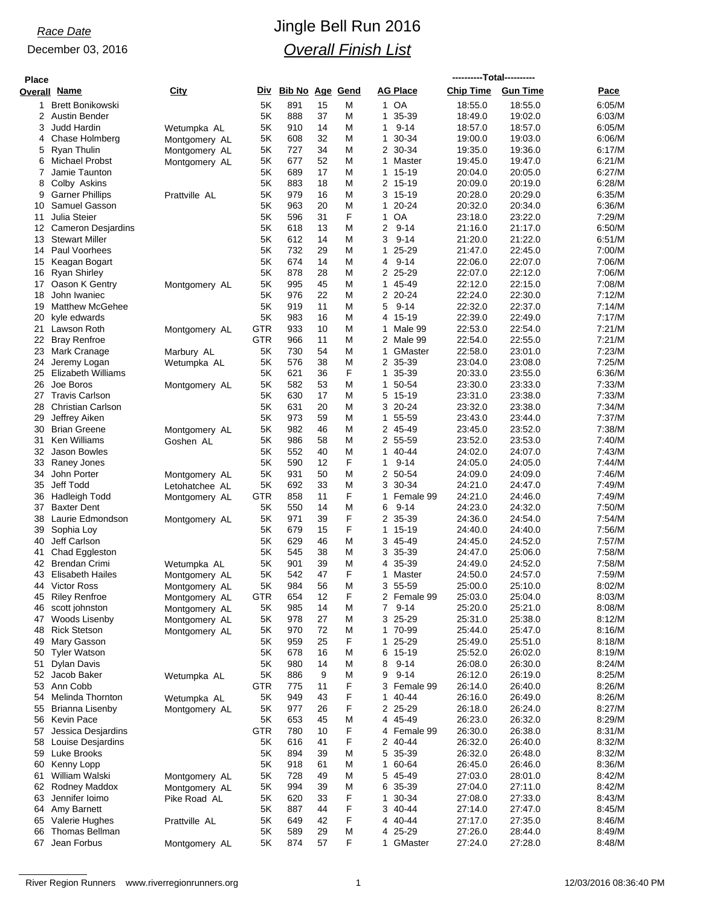| <b>Place</b> |                                           |                |            |                        |          |        |                             | ----------Total---------- |                    |                  |
|--------------|-------------------------------------------|----------------|------------|------------------------|----------|--------|-----------------------------|---------------------------|--------------------|------------------|
| Overall      | <u>Name</u>                               | City           | Div        | <b>Bib No Age Gend</b> |          |        | <b>AG Place</b>             | <b>Chip Time</b>          | <b>Gun Time</b>    | Pace             |
| 1.           | <b>Brett Bonikowski</b>                   |                | 5K         | 891                    | 15       | Μ      | 1 OA                        | 18:55.0                   | 18:55.0            | 6:05/M           |
| 2            | <b>Austin Bender</b>                      |                | 5K         | 888                    | 37       | M      | 35-39<br>1                  | 18:49.0                   | 19:02.0            | 6:03/M           |
| 3            | Judd Hardin                               | Wetumpka AL    | 5K         | 910                    | 14       | Μ      | $9 - 14$<br>$\mathbf{1}$    | 18:57.0                   | 18:57.0            | 6:05/M           |
| 4            | Chase Holmberg                            | Montgomery AL  | 5K         | 608                    | 32       | M      | 30-34<br>1                  | 19:00.0                   | 19:03.0            | 6:06/M           |
| 5            | Ryan Thulin                               | Montgomery AL  | 5K         | 727                    | 34       | M      | $\overline{2}$<br>30-34     | 19:35.0                   | 19:36.0            | 6:17/M           |
| 6            | <b>Michael Probst</b>                     | Montgomery AL  | 5Κ         | 677                    | 52       | M      | 1<br>Master                 | 19:45.0                   | 19:47.0            | 6:21/M           |
| 7            | Jamie Taunton                             |                | 5Κ         | 689                    | 17       | M      | 1<br>15-19                  | 20:04.0                   | 20:05.0            | 6:27/M           |
| 8            | Colby Askins                              |                | 5K         | 883                    | 18       | M      | 2 15-19                     | 20:09.0                   | 20:19.0            | 6:28/M           |
| 9            | <b>Garner Phillips</b>                    | Prattville AL  | 5K         | 979                    | 16       | M      | 3 15-19                     | 20:28.0                   | 20:29.0            | 6:35/M           |
| 10           | Samuel Gasson                             |                | 5Κ         | 963                    | 20       | M      | 1<br>$20 - 24$              | 20:32.0                   | 20:34.0            | 6:36/M           |
| 11           | Julia Steier                              |                | 5K         | 596                    | 31       | F      | OA<br>1                     | 23:18.0                   | 23:22.0            | 7:29/M           |
| 12           | <b>Cameron Desjardins</b>                 |                | 5K         | 618                    | 13       | M      | 2<br>$9 - 14$               | 21:16.0                   | 21:17.0            | 6:50/M           |
| 13           | <b>Stewart Miller</b><br>14 Paul Voorhees |                | 5K<br>5K   | 612<br>732             | 14<br>29 | M      | 3<br>$9 - 14$<br>25-29<br>1 | 21:20.0                   | 21:22.0<br>22:45.0 | 6:51/M<br>7:00/M |
| 15           | Keagan Bogart                             |                | 5K         | 674                    | 14       | M<br>M | $9 - 14$<br>4               | 21:47.0<br>22:06.0        | 22:07.0            | 7:06/M           |
| 16           | Ryan Shirley                              |                | 5K         | 878                    | 28       | M      | 2 25-29                     | 22:07.0                   | 22:12.0            | 7:06/M           |
|              | 17 Oason K Gentry                         | Montgomery AL  | 5K         | 995                    | 45       | M      | 45-49<br>$\mathbf{1}$       | 22:12.0                   | 22:15.0            | 7:08/M           |
| 18           | John Iwaniec                              |                | 5Κ         | 976                    | 22       | M      | 2 20-24                     | 22:24.0                   | 22:30.0            | 7:12/M           |
| 19           | <b>Matthew McGehee</b>                    |                | 5K         | 919                    | 11       | Μ      | 5<br>$9 - 14$               | 22:32.0                   | 22:37.0            | 7:14/M           |
| 20           | kyle edwards                              |                | 5K         | 983                    | 16       | M      | 4 15-19                     | 22:39.0                   | 22:49.0            | 7:17/M           |
| 21           | Lawson Roth                               | Montgomery AL  | <b>GTR</b> | 933                    | 10       | M      | 1<br>Male 99                | 22:53.0                   | 22:54.0            | 7:21/M           |
|              | 22 Bray Renfroe                           |                | GTR        | 966                    | 11       | M      | 2 Male 99                   | 22:54.0                   | 22:55.0            | 7:21/M           |
| 23           | Mark Cranage                              | Marbury AL     | 5K         | 730                    | 54       | M      | 1<br>GMaster                | 22:58.0                   | 23:01.0            | 7:23/M           |
| 24           | Jeremy Logan                              | Wetumpka AL    | 5K         | 576                    | 38       | M      | 2 35-39                     | 23:04.0                   | 23:08.0            | 7:25/M           |
| 25           | <b>Elizabeth Williams</b>                 |                | 5K         | 621                    | 36       | F      | 1<br>35-39                  | 20:33.0                   | 23:55.0            | 6:36/M           |
| 26           | Joe Boros                                 | Montgomery AL  | 5K         | 582                    | 53       | M      | 50-54<br>1                  | 23:30.0                   | 23:33.0            | 7:33/M           |
| 27           | <b>Travis Carlson</b>                     |                | 5K         | 630                    | 17       | Μ      | 5 15-19                     | 23:31.0                   | 23:38.0            | 7:33/M           |
| 28           | <b>Christian Carlson</b>                  |                | 5K         | 631                    | 20       | M      | 3 20-24                     | 23:32.0                   | 23:38.0            | 7:34/M           |
| 29           | Jeffrey Aiken                             |                | 5K         | 973                    | 59       | M      | 55-59<br>1                  | 23:43.0                   | 23:44.0            | 7:37/M           |
| 30           | <b>Brian Greene</b>                       | Montgomery AL  | 5K         | 982                    | 46       | M      | 2 45-49                     | 23:45.0                   | 23:52.0            | 7:38/M           |
| 31           | <b>Ken Williams</b>                       | Goshen AL      | 5K         | 986                    | 58       | M      | 2 55-59                     | 23:52.0                   | 23.53.0            | 7:40/M           |
| 32           | Jason Bowles                              |                | 5K         | 552                    | 40       | M      | 40-44<br>1                  | 24:02.0                   | 24:07.0            | 7:43/M           |
| 33           | Raney Jones                               |                | 5K         | 590                    | 12       | F      | 1<br>$9 - 14$               | 24:05.0                   | 24:05.0            | 7:44/M           |
| 34           | John Porter                               | Montgomery AL  | 5K         | 931                    | 50       | M      | 2 50-54                     | 24:09.0                   | 24:09.0            | 7:46/M           |
| 35           | Jeff Todd                                 | Letohatchee AL | 5K         | 692                    | 33       | M      | 3 30-34                     | 24:21.0                   | 24:47.0            | 7:49/M           |
| 36           | Hadleigh Todd                             | Montgomery AL  | <b>GTR</b> | 858                    | 11       | F      | Female 99<br>1              | 24:21.0                   | 24:46.0            | 7:49/M           |
| 37           | <b>Baxter Dent</b>                        |                | 5K<br>5K   | 550<br>971             | 14<br>39 | Μ<br>F | 6<br>$9 - 14$<br>2 35-39    | 24:23.0                   | 24:32.0<br>24:54.0 | 7:50/M           |
| 38<br>39     | Laurie Edmondson<br>Sophia Loy            | Montgomery AL  | 5K         | 679                    | 15       | F      | $\mathbf{1}$<br>15-19       | 24:36.0<br>24:40.0        | 24:40.0            | 7:54/M<br>7:56/M |
| 40           | Jeff Carlson                              |                | 5K         | 629                    | 46       | Μ      | 3 45-49                     | 24:45.0                   | 24:52.0            | 7:57/M           |
| 41           | Chad Eggleston                            |                | 5K         | 545                    | 38       | M      | 3<br>35-39                  | 24:47.0                   | 25:06.0            | 7:58/M           |
| 42           | <b>Brendan Crimi</b>                      | Wetumpka AL    | 5K         | 901                    | 39       | M      | 35-39<br>4                  | 24:49.0                   | 24:52.0            | 7:58/M           |
| 43           | Elisabeth Hailes                          | Montgomery AL  | 5Κ         | 542                    | 47       | F      | 1<br>Master                 | 24.50.0                   | 24:57.0            | 7:59/M           |
| 44           | Victor Ross                               | Montgomery AL  | 5Κ         | 984                    | 56       | M      | 3.<br>55-59                 | 25:00.0                   | 25:10.0            | 8:02/M           |
| 45           | <b>Riley Renfroe</b>                      | Montgomery AL  | <b>GTR</b> | 654                    | 12       | F      | 2 Female 99                 | 25:03.0                   | 25:04.0            | 8:03/M           |
| 46           | scott johnston                            | Montgomery AL  | 5K         | 985                    | 14       | M      | $\overline{7}$<br>$9 - 14$  | 25:20.0                   | 25:21.0            | 8:08/M           |
| 47           | Woods Lisenby                             | Montgomery AL  | 5K         | 978                    | 27       | M      | 3 25-29                     | 25:31.0                   | 25:38.0            | 8:12/M           |
| 48           | <b>Rick Stetson</b>                       | Montgomery AL  | 5K         | 970                    | 72       | M      | 70-99<br>1                  | 25:44.0                   | 25:47.0            | 8:16/M           |
| 49           | Mary Gasson                               |                | 5K         | 959                    | 25       | F      | 25-29<br>1                  | 25:49.0                   | 25:51.0            | 8:18/M           |
| 50           | <b>Tyler Watson</b>                       |                | 5K         | 678                    | 16       | M      | 6<br>15-19                  | 25:52.0                   | 26:02.0            | 8:19/M           |
| 51           | <b>Dylan Davis</b>                        |                | 5K         | 980                    | 14       | Μ      | 8<br>$9 - 14$               | 26:08.0                   | 26:30.0            | 8:24/M           |
| 52           | Jacob Baker                               | Wetumpka AL    | 5K         | 886                    | 9        | M      | 9<br>$9 - 14$               | 26:12.0                   | 26:19.0            | 8:25/M           |
| 53           | Ann Cobb                                  |                | GTR        | 775                    | 11       | F      | 3<br>Female 99              | 26:14.0                   | 26:40.0            | 8:26/M           |
|              | 54 Melinda Thornton                       | Wetumpka AL    | 5K         | 949                    | 43       | F      | 40-44<br>1                  | 26:16.0                   | 26:49.0            | 8:26/M           |
| 55           | Brianna Lisenby                           | Montgomery AL  | 5K         | 977                    | 26       | F      | 2 25-29                     | 26:18.0                   | 26:24.0            | 8:27/M           |
| 56           | <b>Kevin Pace</b>                         |                | 5K         | 653                    | 45       | M      | 45-49<br>4                  | 26:23.0                   | 26:32.0            | 8:29/M           |
| 57           | Jessica Desjardins                        |                | <b>GTR</b> | 780                    | 10       | F      | Female 99<br>4              | 26:30.0                   | 26:38.0            | 8:31/M           |
| 58           | Louise Desjardins                         |                | 5K         | 616                    | 41       | F      | $\overline{2}$<br>40-44     | 26:32.0                   | 26:40.0            | 8:32/M           |
|              | 59 Luke Brooks                            |                | 5Κ         | 894                    | 39       | M      | 5 35-39                     | 26:32.0                   | 26:48.0            | 8:32/M           |
| 60           | Kenny Lopp                                |                | 5Κ         | 918                    | 61       | M      | 60-64<br>1                  | 26:45.0                   | 26:46.0            | 8:36/M           |
| 61           | William Walski                            | Montgomery AL  | 5K         | 728                    | 49       | M      | 5<br>45-49                  | 27:03.0                   | 28:01.0            | 8:42/M           |
|              | 62 Rodney Maddox<br>Jennifer loimo        | Montgomery AL  | 5K         | 994<br>620             | 39<br>33 | M<br>F | 6 35-39<br>30-34            | 27:04.0                   | 27:11.0<br>27:33.0 | 8:42/M<br>8:43/M |
| 63<br>64     | Amy Barnett                               | Pike Road AL   | 5K<br>5K   | 887                    | 44       | F      | 1<br>3 40-44                | 27:08.0<br>27:14.0        | 27:47.0            | 8:45/M           |
| 65           | Valerie Hughes                            | Prattville AL  | 5K         | 649                    | 42       | F      | 40-44<br>4                  | 27:17.0                   | 27:35.0            | 8:46/M           |
| 66           | <b>Thomas Bellman</b>                     |                | 5K         | 589                    | 29       | M      | 25-29<br>4                  | 27:26.0                   | 28:44.0            | 8:49/M           |
|              | 67 Jean Forbus                            | Montgomery AL  | 5K         | 874                    | 57       | F      | GMaster<br>1                | 27:24.0                   | 27:28.0            | 8:48/M           |
|              |                                           |                |            |                        |          |        |                             |                           |                    |                  |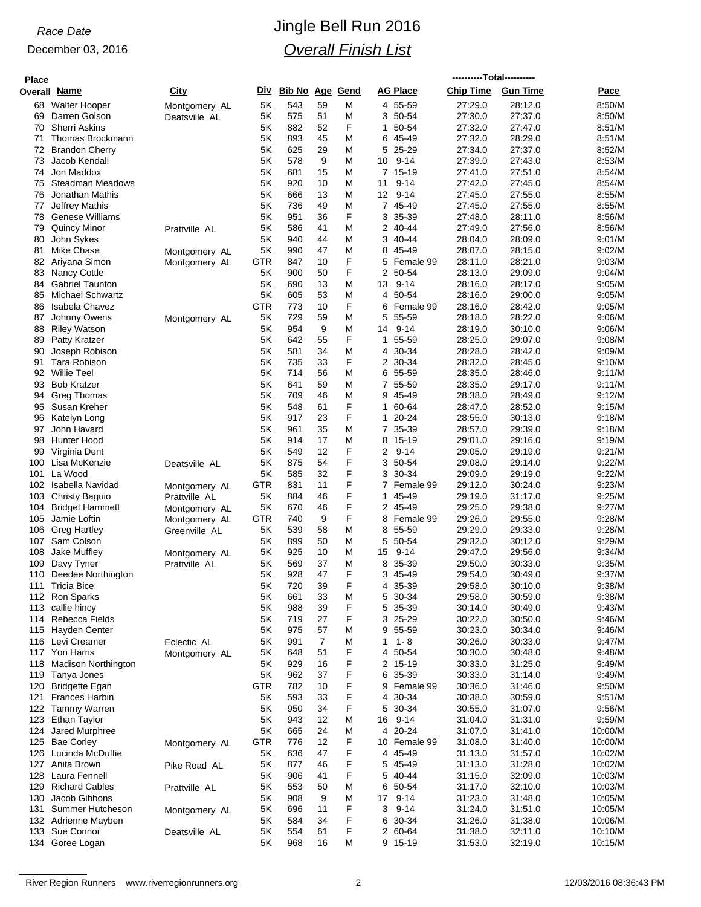| <b>Place</b> |                                          |                                |                  |                        |          |        |                              | ----------Total---------- |                    |                    |
|--------------|------------------------------------------|--------------------------------|------------------|------------------------|----------|--------|------------------------------|---------------------------|--------------------|--------------------|
| Overall      | <u>Name</u>                              | City                           | Div              | <b>Bib No Age Gend</b> |          |        | <b>AG Place</b>              | <b>Chip Time</b>          | <b>Gun Time</b>    | Pace               |
| 68           | <b>Walter Hooper</b>                     | Montgomery AL                  | 5K               | 543                    | 59       | M      | 4 55-59                      | 27:29.0                   | 28:12.0            | 8:50/M             |
| 69           | Darren Golson                            | Deatsville AL                  | 5Κ               | 575                    | 51       | M      | 3<br>50-54                   | 27:30.0                   | 27:37.0            | 8:50/M             |
| 70           | <b>Sherri Askins</b>                     |                                | 5K               | 882                    | 52       | F      | 50-54<br>1                   | 27:32.0                   | 27:47.0            | 8:51/M             |
| 71           | Thomas Brockmann                         |                                | 5K               | 893                    | 45       | M      | 45-49<br>6                   | 27:32.0                   | 28:29.0            | 8:51/M             |
| 72           | <b>Brandon Cherry</b>                    |                                | 5Κ<br>5K         | 625<br>578             | 29<br>9  | M      | 5<br>25-29<br>10 9-14        | 27:34.0<br>27:39.0        | 27:37.0<br>27:43.0 | 8:52/M<br>8:53/M   |
| 73<br>74     | Jacob Kendall<br>Jon Maddox              |                                | 5K               | 681                    | 15       | M<br>M | 7 15-19                      | 27:41.0                   | 27:51.0            | 8:54/M             |
| 75           | Steadman Meadows                         |                                | 5K               | 920                    | 10       | M      | 11<br>$9 - 14$               | 27:42.0                   | 27:45.0            | 8:54/M             |
| 76           | Jonathan Mathis                          |                                | 5K               | 666                    | 13       | M      | 12<br>$9 - 14$               | 27:45.0                   | 27:55.0            | 8:55/M             |
| 77           | Jeffrey Mathis                           |                                | 5Κ               | 736                    | 49       | M      | 7<br>45-49                   | 27:45.0                   | 27:55.0            | 8:55/M             |
| 78           | Genese Williams                          |                                | 5K               | 951                    | 36       | F      | 35-39<br>3                   | 27:48.0                   | 28:11.0            | 8:56/M             |
| 79           | <b>Quincy Minor</b>                      | Prattville AL                  | 5K               | 586                    | 41       | M      | 2 40-44                      | 27:49.0                   | 27:56.0            | 8:56/M             |
| 80           | John Sykes                               |                                | 5K               | 940                    | 44       | M      | 3<br>40-44                   | 28:04.0                   | 28:09.0            | 9:01/M             |
| 81           | <b>Mike Chase</b>                        | Montgomery AL                  | 5K               | 990                    | 47       | M      | 8<br>45-49                   | 28:07.0                   | 28:15.0            | 9:02/M<br>9:03/M   |
| 82<br>83     | Ariyana Simon<br><b>Nancy Cottle</b>     | Montgomery AL                  | GTR<br>5K        | 847<br>900             | 10<br>50 | F<br>F | 5<br>Female 99<br>2<br>50-54 | 28:11.0<br>28:13.0        | 28:21.0<br>29:09.0 | 9:04/M             |
| 84           | <b>Gabriel Taunton</b>                   |                                | 5K               | 690                    | 13       | M      | 13<br>9-14                   | 28:16.0                   | 28:17.0            | 9:05/M             |
| 85           | <b>Michael Schwartz</b>                  |                                | 5Κ               | 605                    | 53       | M      | 50-54<br>4                   | 28:16.0                   | 29:00.0            | 9:05/M             |
| 86           | <b>Isabela Chavez</b>                    |                                | <b>GTR</b>       | 773                    | 10       | F      | Female 99<br>6               | 28:16.0                   | 28:42.0            | 9:05/M             |
| 87           | Johnny Owens                             | Montgomery AL                  | 5K               | 729                    | 59       | M      | 5<br>55-59                   | 28:18.0                   | 28:22.0            | 9:06/M             |
| 88           | <b>Riley Watson</b>                      |                                | 5K               | 954                    | 9        | M      | $9 - 14$<br>14               | 28:19.0                   | 30:10.0            | 9:06/M             |
| 89           | Patty Kratzer                            |                                | 5K               | 642                    | 55       | F      | 1<br>55-59                   | 28:25.0                   | 29:07.0            | 9:08/M             |
| 90           | Joseph Robison                           |                                | 5K               | 581                    | 34       | M      | 4 30-34                      | 28:28.0                   | 28:42.0            | 9:09/M             |
| 91           | Tara Robison                             |                                | 5K<br>5K         | 735                    | 33<br>56 | F      | 2 30-34                      | 28:32.0                   | 28:45.0<br>28:46.0 | 9:10/M<br>9:11/M   |
| 92<br>93     | <b>Willie Teel</b><br><b>Bob Kratzer</b> |                                | 5Κ               | 714<br>641             | 59       | M<br>M | 6 55-59<br>7<br>55-59        | 28:35.0<br>28:35.0        | 29:17.0            | 9:11/M             |
|              | 94 Greg Thomas                           |                                | 5K               | 709                    | 46       | M      | 9 45-49                      | 28:38.0                   | 28:49.0            | 9:12/M             |
| 95           | Susan Kreher                             |                                | 5K               | 548                    | 61       | F      | 60-64<br>1                   | 28:47.0                   | 28:52.0            | 9:15/M             |
| 96           | Katelyn Long                             |                                | 5K               | 917                    | 23       | F      | 1<br>20-24                   | 28:55.0                   | 30:13.0            | 9:18/M             |
| 97           | John Havard                              |                                | 5K               | 961                    | 35       | M      | 7 35-39                      | 28:57.0                   | 29:39.0            | 9:18/M             |
| 98           | Hunter Hood                              |                                | 5K               | 914                    | 17       | M      | 8<br>15-19                   | 29:01.0                   | 29:16.0            | 9:19/M             |
| 99           | Virginia Dent                            |                                | 5Κ               | 549                    | 12       | F      | 2<br>$9 - 14$                | 29:05.0                   | 29:19.0            | 9:21/M             |
| 100          | Lisa McKenzie                            | Deatsville AL                  | 5K               | 875                    | 54       | F      | 3<br>50-54                   | 29:08.0                   | 29:14.0            | 9:22/M             |
| 101          | La Wood<br>102 Isabella Navidad          |                                | 5Κ<br><b>GTR</b> | 585<br>831             | 32<br>11 | F<br>F | 3<br>30-34<br>7<br>Female 99 | 29:09.0<br>29:12.0        | 29:19.0<br>30:24.0 | 9:22/M<br>9:23/M   |
| 103          | Christy Baguio                           | Montgomery AL<br>Prattville AL | 5K               | 884                    | 46       | F      | 45-49<br>1                   | 29:19.0                   | 31:17.0            | 9:25/M             |
| 104          | <b>Bridget Hammett</b>                   | Montgomery AL                  | 5Κ               | 670                    | 46       | F      | 2 45-49                      | 29:25.0                   | 29:38.0            | 9:27/M             |
| 105          | Jamie Loftin                             | Montgomery AL                  | <b>GTR</b>       | 740                    | 9        | F      | 8<br>Female 99               | 29:26.0                   | 29:55.0            | 9:28/M             |
| 106          | <b>Greg Hartley</b>                      | Greenville AL                  | 5K               | 539                    | 58       | M      | 8<br>55-59                   | 29:29.0                   | 29:33.0            | 9:28/M             |
| 107          | Sam Colson                               |                                | 5K               | 899                    | 50       | M      | 50-54<br>5                   | 29:32.0                   | 30:12.0            | 9:29/M             |
| 108          | Jake Muffley                             | Montgomery AL                  | 5Κ               | 925                    | 10       | M      | 15<br>9-14                   | 29:47.0                   | 29:56.0            | 9:34/M             |
| 109          | Davy Tyner                               | Prattville AL                  | 5Κ               | 569                    | 37<br>47 | M<br>F | 8<br>35-39                   | 29:50.0                   | 30:33.0            | 9:35/M             |
| 111          | 110 Deedee Northington<br>I ricia Bice   |                                | 5Κ<br>5Κ         | 928<br>720             | 39       | F      | 3<br>45-49<br>4<br>35-39     | 29.54.0<br>29.58.0        | 30:49.0<br>30:10.0 | 9:37/M<br>9:38/M   |
|              | 112 Ron Sparks                           |                                | 5Κ               | 661                    | 33       | M      | 5<br>30-34                   | 29:58.0                   | 30:59.0            | 9:38/M             |
|              | 113 callie hincy                         |                                | 5K               | 988                    | 39       | F      | 5<br>35-39                   | 30:14.0                   | 30:49.0            | 9:43/M             |
|              | 114 Rebecca Fields                       |                                | 5K               | 719                    | 27       | F      | 3 25-29                      | 30:22.0                   | 30:50.0            | 9:46/M             |
|              | 115 Hayden Center                        |                                | 5K               | 975                    | 57       | M      | 55-59<br>9                   | 30:23.0                   | 30:34.0            | 9:46/M             |
|              | 116 Levi Creamer                         | Eclectic AL                    | 5K               | 991                    | 7        | M      | $1 - 8$<br>1                 | 30:26.0                   | 30:33.0            | 9:47/M             |
|              | 117 Yon Harris                           | Montgomery AL                  | 5K               | 648                    | 51       | F      | 50-54<br>4                   | 30:30.0                   | 30:48.0            | 9:48/M             |
|              | 118 Madison Northington                  |                                | 5K               | 929                    | 16       | F      | 2 15-19                      | 30:33.0                   | 31:25.0            | 9:49/M<br>9:49/M   |
| 120          | 119 Tanya Jones<br><b>Bridgette Egan</b> |                                | 5K<br>GTR        | 962<br>782             | 37<br>10 | F<br>F | 6<br>35-39<br>Female 99<br>9 | 30:33.0<br>30:36.0        | 31:14.0<br>31:46.0 | 9:50/M             |
|              | 121 Frances Harbin                       |                                | 5K               | 593                    | 33       | F      | 30-34<br>4                   | 30:38.0                   | 30:59.0            | 9:51/M             |
|              | 122 Tammy Warren                         |                                | 5K               | 950                    | 34       | F      | 30-34<br>5                   | 30:55.0                   | 31:07.0            | 9:56/M             |
|              | 123 Ethan Taylor                         |                                | 5K               | 943                    | 12       | M      | $9 - 14$<br>16               | 31:04.0                   | 31:31.0            | 9:59/M             |
|              | 124 Jared Murphree                       |                                | 5K               | 665                    | 24       | M      | $20 - 24$<br>4               | 31:07.0                   | 31:41.0            | 10:00/M            |
|              | 125 Bae Corley                           | Montgomery AL                  | <b>GTR</b>       | 776                    | 12       | F      | 10 Female 99                 | 31:08.0                   | 31:40.0            | 10:00/M            |
|              | 126 Lucinda McDuffie                     |                                | 5K               | 636                    | 47       | F      | 4 45-49                      | 31:13.0                   | 31:57.0            | 10:02/M            |
|              | 127 Anita Brown                          | Pike Road AL                   | 5K               | 877                    | 46       | F      | 45-49<br>5                   | 31:13.0                   | 31:28.0            | 10:02/M            |
|              | 128 Laura Fennell<br>129 Richard Cables  |                                | 5K<br>5K         | 906<br>553             | 41<br>50 | F<br>M | 5<br>40-44<br>6 50-54        | 31:15.0<br>31:17.0        | 32:09.0<br>32:10.0 | 10:03/M<br>10:03/M |
| 130          | Jacob Gibbons                            | Prattville AL                  | 5K               | 908                    | 9        | M      | $9 - 14$<br>17               | 31:23.0                   | 31:48.0            | 10:05/M            |
| 131          | Summer Hutcheson                         | Montgomery AL                  | 5K               | 696                    | 11       | F      | 3<br>$9 - 14$                | 31:24.0                   | 31:51.0            | 10:05/M            |
|              | 132 Adrienne Mayben                      |                                | 5K               | 584                    | 34       | F      | 30-34<br>6                   | 31:26.0                   | 31:38.0            | 10:06/M            |
|              | 133 Sue Connor                           | Deatsville AL                  | 5K               | 554                    | 61       | F      | 2 60-64                      | 31:38.0                   | 32:11.0            | 10:10/M            |
|              | 134 Goree Logan                          |                                | 5K               | 968                    | 16       | Μ      | 9 15-19                      | 31:53.0                   | 32:19.0            | 10:15/M            |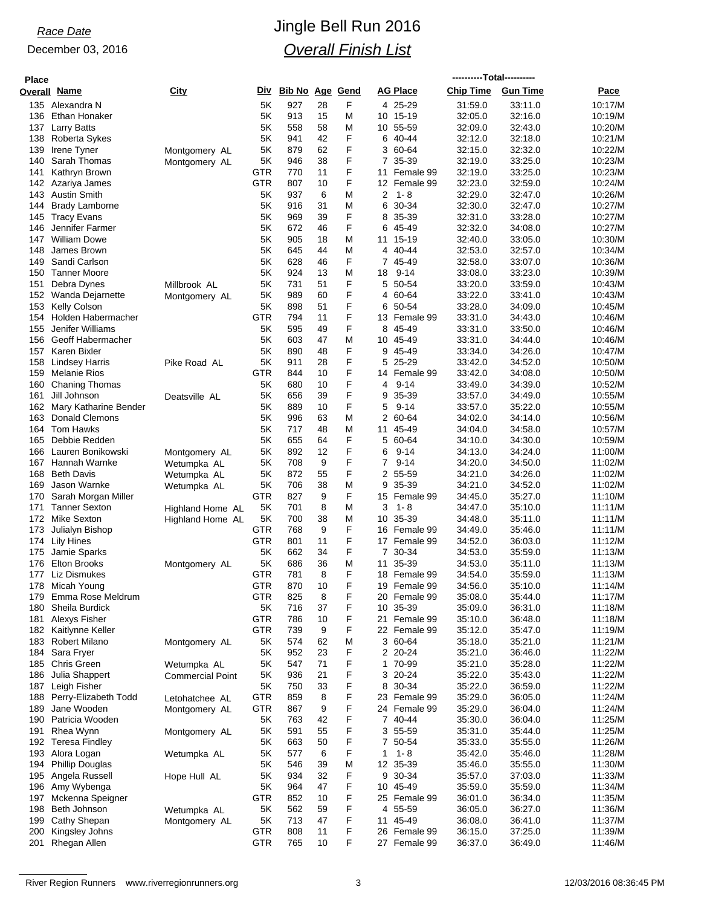| <b>Place</b> |                                              |                                 |            |                        |          |        |              |                           | ----------Total---------- |                    |                    |
|--------------|----------------------------------------------|---------------------------------|------------|------------------------|----------|--------|--------------|---------------------------|---------------------------|--------------------|--------------------|
| Overall Name |                                              | City                            | Div        | <b>Bib No Age Gend</b> |          |        |              | AG Place                  | <b>Chip Time</b>          | <b>Gun Time</b>    | Pace               |
|              | 135 Alexandra N                              |                                 | 5K         | 927                    | 28       | F      |              | 4 25-29                   | 31:59.0                   | 33:11.0            | 10:17/M            |
| 136          | Ethan Honaker                                |                                 | 5Κ         | 913                    | 15       | M      | 10           | 15-19                     | 32:05.0                   | 32:16.0            | 10:19/M            |
|              | 137 Larry Batts                              |                                 | 5Κ         | 558                    | 58       | M      |              | 10 55-59                  | 32:09.0                   | 32:43.0            | 10:20/M            |
| 138          | Roberta Sykes                                |                                 | 5Κ         | 941                    | 42       | F      | 6            | 40-44                     | 32:12.0                   | 32:18.0            | 10:21/M            |
| 139          | Irene Tyner                                  | Montgomery AL                   | 5K         | 879                    | 62       | F      | 3            | 60-64                     | 32:15.0                   | 32:32.0            | 10:22/M            |
| 140          | Sarah Thomas                                 | Montgomery AL                   | 5K         | 946                    | 38       | F      |              | 7 35-39                   | 32:19.0                   | 33:25.0            | 10:23/M            |
| 141          | Kathryn Brown<br>142 Azariya James           |                                 | GTR<br>GTR | 770<br>807             | 11<br>10 | F<br>F | 11           | Female 99<br>12 Female 99 | 32:19.0<br>32:23.0        | 33:25.0<br>32:59.0 | 10:23/M<br>10:24/M |
|              | 143 Austin Smith                             |                                 | 5K         | 937                    | 6        | M      | 2            | $1 - 8$                   | 32:29.0                   | 32:47.0            | 10:26/M            |
| 144          | <b>Brady Lamborne</b>                        |                                 | 5K         | 916                    | 31       | M      | 6            | 30-34                     | 32:30.0                   | 32:47.0            | 10:27/M            |
| 145          | Tracy Evans                                  |                                 | 5Κ         | 969                    | 39       | F      | 8            | 35-39                     | 32:31.0                   | 33:28.0            | 10:27/M            |
| 146          | Jennifer Farmer                              |                                 | 5K         | 672                    | 46       | F      |              | 6 45-49                   | 32:32.0                   | 34:08.0            | 10:27/M            |
| 147          | <b>William Dowe</b>                          |                                 | 5Κ         | 905                    | 18       | M      | 11           | 15-19                     | 32:40.0                   | 33:05.0            | 10:30/M            |
| 148          | James Brown                                  |                                 | 5Κ         | 645                    | 44       | M      |              | 4 40-44                   | 32:53.0                   | 32:57.0            | 10:34/M            |
| 149          | Sandi Carlson                                |                                 | 5Κ         | 628                    | 46       | F      | $\mathbf{7}$ | 45-49                     | 32:58.0                   | 33:07.0            | 10:36/M            |
| 150          | <b>Tanner Moore</b>                          |                                 | 5K         | 924                    | 13       | M      | 18           | $9 - 14$                  | 33:08.0                   | 33:23.0            | 10:39/M            |
| 151          | Debra Dynes                                  | Millbrook AL                    | 5K         | 731                    | 51       | F      |              | 5 50-54                   | 33:20.0                   | 33:59.0            | 10:43/M            |
|              | 152 Wanda Dejarnette                         | Montgomery AL                   | 5K         | 989                    | 60       | F<br>F |              | 4 60-64                   | 33:22.0                   | 33:41.0            | 10:43/M            |
|              | 153 Kelly Colson<br>154 Holden Habermacher   |                                 | 5Κ<br>GTR  | 898<br>794             | 51<br>11 | F      |              | 6 50-54<br>13 Female 99   | 33:28.0<br>33:31.0        | 34:09.0<br>34:43.0 | 10:45/M<br>10:46/M |
| 155          | Jenifer Williams                             |                                 | 5K         | 595                    | 49       | F      | 8            | 45-49                     | 33:31.0                   | 33:50.0            | 10:46/M            |
|              | 156 Geoff Habermacher                        |                                 | 5Κ         | 603                    | 47       | M      |              | 10 45-49                  | 33:31.0                   | 34:44.0            | 10:46/M            |
| 157          | Karen Bixler                                 |                                 | 5Κ         | 890                    | 48       | F      | 9            | 45-49                     | 33:34.0                   | 34:26.0            | 10:47/M            |
| 158          | <b>Lindsey Harris</b>                        | Pike Road AL                    | 5K         | 911                    | 28       | F      |              | 5 25-29                   | 33:42.0                   | 34:52.0            | 10:50/M            |
| 159          | <b>Melanie Rios</b>                          |                                 | <b>GTR</b> | 844                    | 10       | F      |              | 14 Female 99              | 33:42.0                   | 34:08.0            | 10:50/M            |
| 160          | <b>Chaning Thomas</b>                        |                                 | 5K         | 680                    | 10       | F      | 4            | $9 - 14$                  | 33:49.0                   | 34:39.0            | 10:52/M            |
| 161          | Jill Johnson                                 | Deatsville AL                   | 5Κ         | 656                    | 39       | F      | 9            | 35-39                     | 33:57.0                   | 34:49.0            | 10:55/M            |
|              | 162 Mary Katharine Bender                    |                                 | 5Κ         | 889                    | 10       | F      | 5            | $9 - 14$                  | 33:57.0                   | 35:22.0            | 10:55/M            |
| 163          | <b>Donald Clemons</b>                        |                                 | 5K         | 996                    | 63       | M      |              | 2 60-64                   | 34:02.0                   | 34:14.0            | 10:56/M            |
| 165          | 164 Tom Hawks<br>Debbie Redden               |                                 | 5K<br>5Κ   | 717<br>655             | 48<br>64 | M<br>F | 5            | 11 45-49<br>60-64         | 34:04.0<br>34:10.0        | 34:58.0<br>34:30.0 | 10:57/M<br>10:59/M |
| 166          | Lauren Bonikowski                            | Montgomery AL                   | 5Κ         | 892                    | 12       | F      | 6            | $9 - 14$                  | 34:13.0                   | 34:24.0            | 11:00/M            |
|              | 167 Hannah Warnke                            | Wetumpka AL                     | 5Κ         | 708                    | 9        | F      | 7            | $9 - 14$                  | 34:20.0                   | 34:50.0            | 11:02/M            |
| 168          | <b>Beth Davis</b>                            | Wetumpka AL                     | 5K         | 872                    | 55       | F      |              | 2 55-59                   | 34:21.0                   | 34:26.0            | 11:02/M            |
| 169          | Jason Warnke                                 | Wetumpka AL                     | 5Κ         | 706                    | 38       | M      | 9            | 35-39                     | 34:21.0                   | 34:52.0            | 11:02/M            |
| 170          | Sarah Morgan Miller                          |                                 | GTR        | 827                    | 9        | F      | 15           | Female 99                 | 34:45.0                   | 35:27.0            | 11:10/M            |
| 171          | <b>Tanner Sexton</b>                         | Highland Home AL                | 5K         | 701                    | 8        | M      | 3            | $1 - 8$                   | 34:47.0                   | 35:10.0            | 11:11/M            |
|              | 172 Mike Sexton                              | Highland Home AL                | 5K         | 700                    | 38       | M      | 10           | 35-39                     | 34:48.0                   | 35:11.0            | 11:11/M            |
| 173          | Julialyn Bishop                              |                                 | GTR        | 768                    | 9        | F      | 16           | Female 99                 | 34:49.0                   | 35:46.0            | 11:11/M            |
|              | 174 Lily Hines                               |                                 | GTR        | 801                    | 11       | F      |              | 17 Female 99              | 34:52.0                   | 36:03.0            | 11:12/M            |
| 175<br>176   | Jamie Sparks<br><b>Elton Brooks</b>          |                                 | 5K<br>5K   | 662<br>686             | 34<br>36 | F<br>M | 11           | 7 30-34<br>35-39          | 34:53.0                   | 35:59.0<br>35:11.0 | 11:13/M            |
|              | 177 Liz Dismukes                             | Montgomery AL                   | <b>GTR</b> | 781                    | 8        | F      |              | 18 Female 99              | 34:53.0<br>34:54.0        | 35:59.0            | 11:13/M<br>11:13/M |
|              | 178 Micah Young                              |                                 | <b>GTR</b> | 870                    | 10       | F      |              | 19 Female 99              | 34:56.0                   | 35:10.0            | 11:14/M            |
|              | 179 Emma Rose Meldrum                        |                                 | <b>GTR</b> | 825                    | 8        | F      |              | 20 Female 99              | 35:08.0                   | 35:44.0            | 11:17/M            |
|              | 180 Sheila Burdick                           |                                 | 5K         | 716                    | 37       | F      |              | 10 35-39                  | 35:09.0                   | 36:31.0            | 11:18/M            |
|              | 181 Alexys Fisher                            |                                 | <b>GTR</b> | 786                    | 10       | F      | 21           | Female 99                 | 35:10.0                   | 36:48.0            | 11:18/M            |
|              | 182 Kaitlynne Keller                         |                                 | <b>GTR</b> | 739                    | 9        | F      |              | 22 Female 99              | 35:12.0                   | 35:47.0            | 11:19/M            |
|              | 183 Robert Milano                            | Montgomery AL                   | 5K         | 574                    | 62       | M      |              | 3 60-64                   | 35:18.0                   | 35:21.0            | 11:21/M            |
|              | 184 Sara Fryer                               |                                 | 5Κ         | 952                    | 23       | F      |              | 2 20-24                   | 35:21.0                   | 36:46.0            | 11:22/M            |
|              | 185 Chris Green                              | Wetumpka AL                     | 5K         | 547                    | 71       | F      |              | 1 70-99                   | 35:21.0                   | 35:28.0            | 11:22/M            |
| 186          | Julia Shappert                               | <b>Commercial Point</b>         | 5K         | 936                    | 21       | F      |              | 3 20-24                   | 35:22.0                   | 35:43.0            | 11:22/M            |
|              | 187 Leigh Fisher<br>188 Perry-Elizabeth Todd |                                 | 5K<br>GTR  | 750<br>859             | 33<br>8  | F<br>F | 8            | 30-34<br>23 Female 99     | 35:22.0<br>35:29.0        | 36:59.0<br>36:05.0 | 11:22/M<br>11:24/M |
| 189          | Jane Wooden                                  | Letohatchee AL<br>Montgomery AL | <b>GTR</b> | 867                    | 9        | F      |              | 24 Female 99              | 35:29.0                   | 36:04.0            | 11:24/M            |
|              | 190 Patricia Wooden                          |                                 | 5K         | 763                    | 42       | F      |              | 7 40-44                   | 35:30.0                   | 36:04.0            | 11:25/M            |
| 191          | Rhea Wynn                                    | Montgomery AL                   | 5K         | 591                    | 55       | F      |              | 3 55-59                   | 35:31.0                   | 35:44.0            | 11:25/M            |
|              | 192 Teresa Findley                           |                                 | 5K         | 663                    | 50       | F      |              | 7 50-54                   | 35:33.0                   | 35:55.0            | 11:26/M            |
|              | 193 Alora Logan                              | Wetumpka AL                     | 5K         | 577                    | 6        | F      | 1            | $1 - 8$                   | 35:42.0                   | 35:46.0            | 11:28/M            |
| 194          | <b>Phillip Douglas</b>                       |                                 | 5K         | 546                    | 39       | M      |              | 12 35-39                  | 35:46.0                   | 35:55.0            | 11:30/M            |
|              | 195 Angela Russell                           | Hope Hull AL                    | 5K         | 934                    | 32       | F      | 9            | 30-34                     | 35:57.0                   | 37:03.0            | 11:33/M            |
|              | 196 Amy Wybenga                              |                                 | 5K         | 964                    | 47       | F      |              | 10 45-49                  | 35:59.0                   | 35:59.0            | 11:34/M            |
|              | 197 Mckenna Speigner                         |                                 | <b>GTR</b> | 852                    | 10       | F      |              | 25 Female 99              | 36:01.0                   | 36:34.0            | 11:35/M            |
|              | 198 Beth Johnson                             | Wetumpka AL                     | 5K         | 562                    | 59       | F      |              | 4 55-59                   | 36:05.0                   | 36:27.0            | 11:36/M            |
| 199<br>200   | Cathy Shepan<br>Kingsley Johns               | Montgomery AL                   | 5K<br>GTR  | 713<br>808             | 47<br>11 | F<br>F | 11           | 45-49<br>26 Female 99     | 36:08.0<br>36:15.0        | 36:41.0<br>37:25.0 | 11:37/M<br>11:39/M |
| 201          | Rhegan Allen                                 |                                 | <b>GTR</b> | 765                    | 10       | F      |              | 27 Female 99              | 36:37.0                   | 36:49.0            | 11:46/M            |
|              |                                              |                                 |            |                        |          |        |              |                           |                           |                    |                    |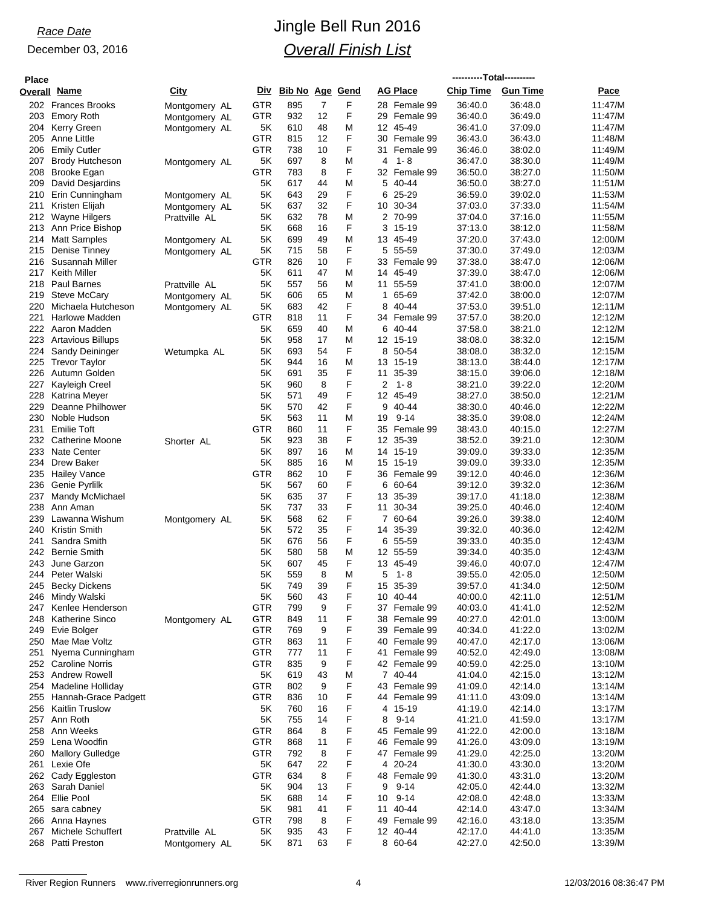| <b>Place</b> |                                                |                                |                          |                        |          |        |          |                              | ----------Total---------- |                    |                    |
|--------------|------------------------------------------------|--------------------------------|--------------------------|------------------------|----------|--------|----------|------------------------------|---------------------------|--------------------|--------------------|
| Overall      | <u>Name</u>                                    | City                           | Div                      | <b>Bib No Age Gend</b> |          |        |          | <b>AG Place</b>              | <b>Chip Time</b>          | <b>Gun Time</b>    | Pace               |
|              | 202 Frances Brooks                             | Montgomery AL                  | <b>GTR</b>               | 895                    | 7        | F      |          | 28 Female 99                 | 36:40.0                   | 36:48.0            | 11:47/M            |
| 203          | <b>Emory Roth</b>                              | Montgomery AL                  | <b>GTR</b>               | 932                    | 12       | F      | 29       | Female 99                    | 36:40.0                   | 36:49.0            | 11:47/M            |
|              | 204 Kerry Green                                | Montgomery AL                  | 5K                       | 610                    | 48       | M      |          | 12 45-49                     | 36:41.0                   | 37:09.0            | 11:47/M            |
| 205<br>206   | Anne Little<br><b>Emily Cutler</b>             |                                | <b>GTR</b><br>GTR        | 815<br>738             | 12<br>10 | F<br>F | 30<br>31 | Female 99<br>Female 99       | 36:43.0<br>36:46.0        | 36:43.0<br>38:02.0 | 11:48/M<br>11:49/M |
| 207          | <b>Brody Hutcheson</b>                         | Montgomery AL                  | 5K                       | 697                    | 8        | M      | 4        | $1 - 8$                      | 36:47.0                   | 38:30.0            | 11:49/M            |
| 208          | Brooke Egan                                    |                                | GTR                      | 783                    | 8        | F      |          | 32 Female 99                 | 36:50.0                   | 38:27.0            | 11:50/M            |
| 209          | David Desjardins                               |                                | 5K                       | 617                    | 44       | M      | 5        | 40-44                        | 36:50.0                   | 38:27.0            | 11:51/M            |
| 210          | Erin Cunningham                                | Montgomery AL                  | 5K                       | 643                    | 29       | F      | 6        | 25-29                        | 36:59.0                   | 39:02.0            | 11:53/M            |
| 211          | Kristen Elijah                                 | Montgomery AL                  | 5Κ                       | 637                    | 32       | F      |          | 10 30-34                     | 37:03.0                   | 37:33.0            | 11:54/M            |
| 213          | 212 Wayne Hilgers<br>Ann Price Bishop          | Prattville AL                  | 5K<br>5Κ                 | 632<br>668             | 78<br>16 | M<br>F | 3        | 2 70-99<br>15-19             | 37:04.0<br>37:13.0        | 37:16.0<br>38:12.0 | 11:55/M<br>11:58/M |
| 214          | <b>Matt Samples</b>                            | Montgomery AL                  | 5K                       | 699                    | 49       | M      |          | 13 45-49                     | 37:20.0                   | 37:43.0            | 12:00/M            |
| 215          | Denise Tinney                                  | Montgomery AL                  | 5K                       | 715                    | 58       | F      | 5        | 55-59                        | 37:30.0                   | 37:49.0            | 12:03/M            |
| 216          | Susannah Miller                                |                                | GTR                      | 826                    | 10       | F      |          | 33 Female 99                 | 37:38.0                   | 38:47.0            | 12:06/M            |
| 217          | <b>Keith Miller</b>                            |                                | 5K                       | 611                    | 47       | M      |          | 14 45-49                     | 37:39.0                   | 38:47.0            | 12:06/M            |
|              | 218 Paul Barnes                                | Prattville AL                  | 5K<br>5K                 | 557<br>606             | 56<br>65 | M      | 1        | 11 55-59<br>65-69            | 37:41.0<br>37:42.0        | 38:00.0<br>38:00.0 | 12:07/M<br>12:07/M |
| 219<br>220   | <b>Steve McCary</b><br>Michaela Hutcheson      | Montgomery AL<br>Montgomery AL | 5K                       | 683                    | 42       | M<br>F |          | 8 40-44                      | 37:53.0                   | 39:51.0            | 12:11/M            |
| 221          | <b>Harlowe Madden</b>                          |                                | <b>GTR</b>               | 818                    | 11       | F      |          | 34 Female 99                 | 37:57.0                   | 38:20.0            | 12:12/M            |
| 222          | Aaron Madden                                   |                                | 5K                       | 659                    | 40       | M      | 6        | 40-44                        | 37:58.0                   | 38:21.0            | 12:12/M            |
| 223          | Artavious Billups                              |                                | 5K                       | 958                    | 17       | M      |          | 12 15-19                     | 38:08.0                   | 38:32.0            | 12:15/M            |
| 224          | Sandy Deininger                                | Wetumpka AL                    | 5K                       | 693                    | 54       | F      | 8        | 50-54                        | 38:08.0                   | 38:32.0            | 12:15/M            |
| 225          | <b>Trevor Taylor</b>                           |                                | 5K                       | 944                    | 16       | M      |          | 13 15-19                     | 38:13.0                   | 38:44.0            | 12:17/M            |
| 226<br>227   | Autumn Golden<br>Kayleigh Creel                |                                | 5K<br>5Κ                 | 691<br>960             | 35<br>8  | F<br>F | 11<br>2  | 35-39<br>$1 - 8$             | 38:15.0<br>38:21.0        | 39:06.0<br>39:22.0 | 12:18/M<br>12:20/M |
| 228          | Katrina Meyer                                  |                                | 5K                       | 571                    | 49       | F      |          | 12 45-49                     | 38:27.0                   | 38:50.0            | 12:21/M            |
| 229          | Deanne Philhower                               |                                | 5K                       | 570                    | 42       | F      | 9        | 40-44                        | 38:30.0                   | 40:46.0            | 12:22/M            |
| 230          | Noble Hudson                                   |                                | 5K                       | 563                    | 11       | M      | 19       | $9 - 14$                     | 38:35.0                   | 39:08.0            | 12:24/M            |
| 231          | <b>Emilie Toft</b>                             |                                | GTR                      | 860                    | 11       | F      |          | 35 Female 99                 | 38:43.0                   | 40:15.0            | 12:27/M            |
| 232          | Catherine Moone                                | Shorter AL                     | 5K                       | 923                    | 38       | F      |          | 12 35-39                     | 38:52.0                   | 39:21.0            | 12:30/M            |
| 233          | Nate Center<br>234 Drew Baker                  |                                | 5K<br>5Κ                 | 897<br>885             | 16<br>16 | M<br>M |          | 14 15-19<br>15 15-19         | 39:09.0<br>39:09.0        | 39:33.0<br>39:33.0 | 12:35/M<br>12:35/M |
| 235          | <b>Hailey Vance</b>                            |                                | GTR                      | 862                    | 10       | F      |          | 36 Female 99                 | 39:12.0                   | 40:46.0            | 12:36/M            |
| 236          | Genie Pyrlilk                                  |                                | 5K                       | 567                    | 60       | F      |          | 6 60-64                      | 39:12.0                   | 39:32.0            | 12:36/M            |
| 237          | Mandy McMichael                                |                                | 5K                       | 635                    | 37       | F      |          | 13 35-39                     | 39:17.0                   | 41:18.0            | 12:38/M            |
| 238          | Ann Aman                                       |                                | 5K                       | 737                    | 33       | F      | 11       | 30-34                        | 39:25.0                   | 40:46.0            | 12:40/M            |
| 239          | Lawanna Wishum                                 | Montgomery AL                  | 5K                       | 568                    | 62       | F      |          | 7 60-64                      | 39:26.0                   | 39:38.0            | 12:40/M            |
| 240<br>241   | <b>Kristin Smith</b><br>Sandra Smith           |                                | 5Κ<br>5K                 | 572<br>676             | 35<br>56 | F<br>F |          | 14 35-39<br>6 55-59          | 39:32.0<br>39:33.0        | 40:36.0<br>40:35.0 | 12:42/M<br>12:43/M |
| 242          | <b>Bernie Smith</b>                            |                                | 5Κ                       | 580                    | 58       | M      |          | 12 55-59                     | 39:34.0                   | 40:35.0            | 12:43/M            |
| 243          | June Garzon                                    |                                | 5Κ                       | 607                    | 45       | F      |          | 13 45-49                     | 39:46.0                   | 40:07.0            | 12:47/M            |
|              | 244 Peter Walski                               |                                | 5Κ                       | 559                    | 8        | M      | 5        | 1-8                          | 39.55.0                   | 42:05.0            | 12:50/M            |
| 245          | Becky Dickens                                  |                                | 5K                       | 749                    | 39       | F      |          | 15 35-39                     | 39.57.0                   | 41:34.0            | 12:50/M            |
| 246          | Mindy Walski                                   |                                | 5K                       | 560                    | 43       | F      |          | 10 40-44                     | 40:00.0                   | 42:11.0            | 12:51/M            |
| 248          | 247 Kenlee Henderson<br><b>Katherine Sinco</b> |                                | <b>GTR</b><br><b>GTR</b> | 799<br>849             | 9<br>11  | F<br>F |          | 37 Female 99<br>38 Female 99 | 40:03.0<br>40:27.0        | 41:41.0<br>42:01.0 | 12:52/M<br>13:00/M |
|              | 249 Evie Bolger                                | Montgomery AL                  | <b>GTR</b>               | 769                    | 9        | F      |          | 39 Female 99                 | 40:34.0                   | 41:22.0            | 13:02/M            |
|              | 250 Mae Mae Voltz                              |                                | <b>GTR</b>               | 863                    | 11       | F      |          | 40 Female 99                 | 40:47.0                   | 42:17.0            | 13:06/M            |
| 251          | Nyema Cunningham                               |                                | GTR                      | 777                    | 11       | F      | 41       | Female 99                    | 40:52.0                   | 42:49.0            | 13:08/M            |
|              | 252 Caroline Norris                            |                                | <b>GTR</b>               | 835                    | 9        | F      |          | 42 Female 99                 | 40:59.0                   | 42:25.0            | 13:10/M            |
|              | 253 Andrew Rowell                              |                                | 5K                       | 619                    | 43       | M      |          | 7 40-44                      | 41:04.0                   | 42:15.0            | 13:12/M            |
|              | 254 Madeline Holliday<br>Hannah-Grace Padgett  |                                | <b>GTR</b><br><b>GTR</b> | 802<br>836             | 9<br>10  | F<br>F |          | 43 Female 99<br>44 Female 99 | 41:09.0<br>41:11.0        | 42:14.0<br>43:09.0 | 13:14/M<br>13:14/M |
| 255          | 256 Kaitlin Truslow                            |                                | 5K                       | 760                    | 16       | F      |          | 4 15-19                      | 41:19.0                   | 42:14.0            | 13:17/M            |
|              | 257 Ann Roth                                   |                                | 5K                       | 755                    | 14       | F      | 8        | $9 - 14$                     | 41:21.0                   | 41:59.0            | 13:17/M            |
| 258          | Ann Weeks                                      |                                | GTR                      | 864                    | 8        | F      |          | 45 Female 99                 | 41:22.0                   | 42:00.0            | 13:18/M            |
| 259          | Lena Woodfin                                   |                                | <b>GTR</b>               | 868                    | 11       | F      |          | 46 Female 99                 | 41:26.0                   | 43:09.0            | 13:19/M            |
| 260          | <b>Mallory Gulledge</b>                        |                                | <b>GTR</b>               | 792                    | 8        | F      |          | 47 Female 99                 | 41:29.0                   | 42:25.0            | 13:20/M            |
|              | 261 Lexie Ofe                                  |                                | 5K<br><b>GTR</b>         | 647                    | 22       | F<br>F | 4        | 20-24                        | 41:30.0                   | 43:30.0            | 13:20/M            |
|              | 262 Cady Eggleston<br>263 Sarah Daniel         |                                | 5K                       | 634<br>904             | 8<br>13  | F      | 48<br>9  | Female 99<br>$9 - 14$        | 41:30.0<br>42:05.0        | 43:31.0<br>42:44.0 | 13:20/M<br>13:32/M |
|              | 264 Ellie Pool                                 |                                | 5K                       | 688                    | 14       | F      | 10       | $9 - 14$                     | 42:08.0                   | 42:48.0            | 13:33/M            |
|              | 265 sara cabney                                |                                | 5K                       | 981                    | 41       | F      | 11       | 40-44                        | 42:14.0                   | 43:47.0            | 13:34/M            |
|              | 266 Anna Haynes                                |                                | <b>GTR</b>               | 798                    | 8        | F      |          | 49 Female 99                 | 42:16.0                   | 43:18.0            | 13:35/M            |
| 267          | Michele Schuffert                              | Prattville AL                  | 5K                       | 935                    | 43       | F      |          | 12 40-44                     | 42:17.0                   | 44:41.0            | 13:35/M            |
|              | 268 Patti Preston                              | Montgomery AL                  | 5K                       | 871                    | 63       | F      |          | 8 60-64                      | 42:27.0                   | 42:50.0            | 13:39/M            |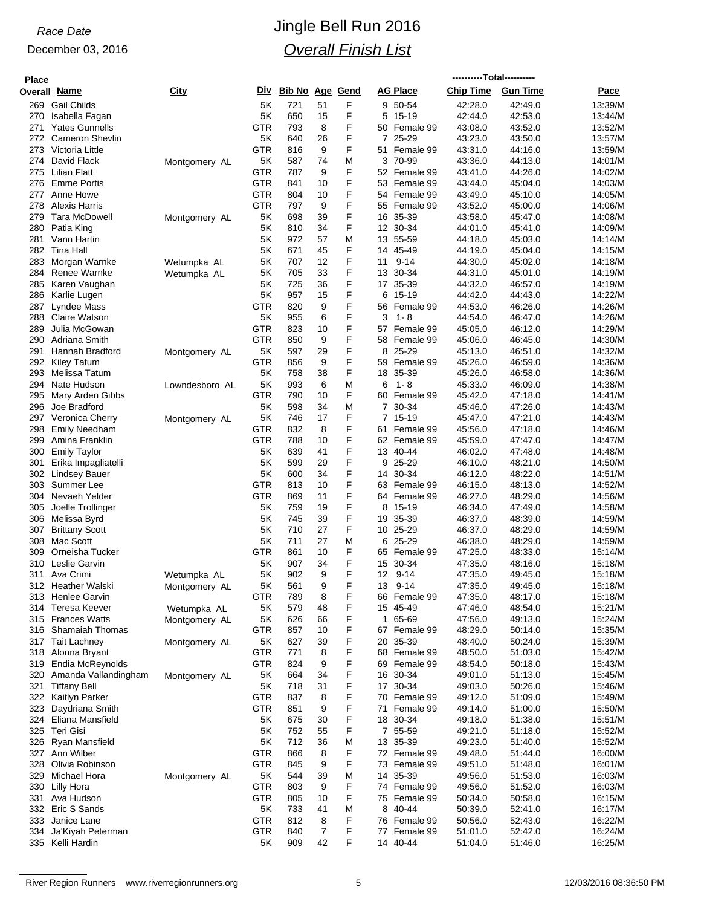| <b>Place</b> |                                        |                |            |                        |          |        |                |                         | ----------Total---------- |                    |                    |
|--------------|----------------------------------------|----------------|------------|------------------------|----------|--------|----------------|-------------------------|---------------------------|--------------------|--------------------|
| Overall Name |                                        | City           | <b>Div</b> | <b>Bib No Age Gend</b> |          |        |                | <b>AG Place</b>         | <b>Chip Time</b>          | <b>Gun Time</b>    | Pace               |
| 269          | <b>Gail Childs</b>                     |                | 5K         | 721                    | 51       | F      |                | 9 50-54                 | 42:28.0                   | 42:49.0            | 13:39/M            |
| 270          | Isabella Fagan                         |                | 5K         | 650                    | 15       | F      | 5              | 15-19                   | 42:44.0                   | 42:53.0            | 13:44/M            |
| 271          | <b>Yates Gunnells</b>                  |                | <b>GTR</b> | 793                    | 8        | F      |                | 50 Female 99            | 43:08.0                   | 43:52.0            | 13:52/M            |
| 272          | <b>Cameron Shevlin</b>                 |                | 5K         | 640                    | 26       | F      | 7              | $25 - 29$               | 43:23.0                   | 43:50.0            | 13:57/M            |
| 273          | Victoria Little                        |                | <b>GTR</b> | 816                    | 9        | F      | 51             | Female 99               | 43:31.0                   | 44:16.0            | 13:59/M            |
| 275          | 274 David Flack<br>Lilian Flatt        | Montgomery AL  | 5K<br>GTR  | 587<br>787             | 74<br>9  | M<br>F |                | 3 70-99<br>52 Female 99 | 43:36.0                   | 44:13.0<br>44:26.0 | 14:01/M<br>14:02/M |
| 276          | <b>Emme Portis</b>                     |                | GTR        | 841                    | 10       | F      |                | 53 Female 99            | 43:41.0<br>43:44.0        | 45:04.0            | 14:03/M            |
| 277          | Anne Howe                              |                | GTR        | 804                    | 10       | F      |                | 54 Female 99            | 43:49.0                   | 45:10.0            | 14:05/M            |
| 278          | <b>Alexis Harris</b>                   |                | GTR        | 797                    | 9        | F      |                | 55 Female 99            | 43:52.0                   | 45:00.0            | 14:06/M            |
| 279          | Tara McDowell                          | Montgomery AL  | 5K         | 698                    | 39       | F      |                | 16 35-39                | 43:58.0                   | 45:47.0            | 14:08/M            |
| 280          | Patia King                             |                | 5Κ         | 810                    | 34       | F      |                | 12 30-34                | 44:01.0                   | 45:41.0            | 14:09/M            |
| 281          | Vann Hartin                            |                | 5K         | 972                    | 57       | M      |                | 13 55-59                | 44:18.0                   | 45:03.0            | 14:14/M            |
|              | 282 Tina Hall                          |                | 5K         | 671                    | 45       | F      |                | 14 45-49                | 44:19.0                   | 45:04.0            | 14:15/M            |
| 283          | Morgan Warnke                          | Wetumpka AL    | 5K         | 707                    | 12       | F      | 11             | $9 - 14$                | 44:30.0                   | 45:02.0            | 14:18/M            |
| 285          | 284 Renee Warnke                       | Wetumpka AL    | 5K<br>5Κ   | 705<br>725             | 33<br>36 | F<br>F |                | 13 30-34                | 44:31.0<br>44:32.0        | 45:01.0            | 14:19/M            |
| 286          | Karen Vaughan<br>Karlie Lugen          |                | 5K         | 957                    | 15       | F      | 6              | 17 35-39<br>15-19       | 44:42.0                   | 46:57.0<br>44:43.0 | 14:19/M<br>14:22/M |
| 287          | Lyndee Mass                            |                | GTR        | 820                    | 9        | F      |                | 56 Female 99            | 44.53.0                   | 46:26.0            | 14:26/M            |
| 288          | <b>Claire Watson</b>                   |                | 5K         | 955                    | 6        | F      | 3              | 1-8                     | 44:54.0                   | 46:47.0            | 14:26/M            |
| 289          | Julia McGowan                          |                | <b>GTR</b> | 823                    | 10       | F      |                | 57 Female 99            | 45:05.0                   | 46:12.0            | 14:29/M            |
| 290          | Adriana Smith                          |                | <b>GTR</b> | 850                    | 9        | F      |                | 58 Female 99            | 45:06.0                   | 46:45.0            | 14:30/M            |
| 291          | Hannah Bradford                        | Montgomery AL  | 5K         | 597                    | 29       | F      | 8              | 25-29                   | 45:13.0                   | 46:51.0            | 14:32/M            |
| 292          | Kiley Tatum                            |                | GTR        | 856                    | 9        | F      |                | 59 Female 99            | 45:26.0                   | 46:59.0            | 14:36/M            |
| 293          | Melissa Tatum                          |                | 5K         | 758                    | 38       | F      |                | 18 35-39                | 45:26.0                   | 46:58.0            | 14:36/M            |
| 294          | Nate Hudson                            | Lowndesboro AL | 5K         | 993                    | 6        | M      | 6              | $1 - 8$                 | 45:33.0                   | 46:09.0<br>47:18.0 | 14:38/M            |
| 295<br>296   | Mary Arden Gibbs<br>Joe Bradford       |                | GTR<br>5Κ  | 790<br>598             | 10<br>34 | F<br>M | $\overline{7}$ | 60 Female 99<br>30-34   | 45:42.0<br>45:46.0        | 47:26.0            | 14:41/M<br>14:43/M |
|              | 297 Veronica Cherry                    | Montgomery AL  | 5Κ         | 746                    | 17       | F      | $7^{\circ}$    | 15-19                   | 45:47.0                   | 47:21.0            | 14:43/M            |
| 298          | <b>Emily Needham</b>                   |                | GTR        | 832                    | 8        | F      | 61.            | Female 99               | 45:56.0                   | 47:18.0            | 14:46/M            |
| 299          | Amina Franklin                         |                | GTR        | 788                    | 10       | F      |                | 62 Female 99            | 45:59.0                   | 47:47.0            | 14:47/M            |
| 300          | <b>Emily Taylor</b>                    |                | 5K         | 639                    | 41       | F      |                | 13 40-44                | 46:02.0                   | 47:48.0            | 14:48/M            |
| 301          | Erika Impagliatelli                    |                | 5Κ         | 599                    | 29       | F      | 9              | 25-29                   | 46:10.0                   | 48:21.0            | 14:50/M            |
| 302          | Lindsey Bauer                          |                | 5K         | 600                    | 34       | F      | 14             | 30-34                   | 46:12.0                   | 48:22.0            | 14:51/M            |
|              | 303 Summer Lee                         |                | GTR        | 813                    | 10       | F      |                | 63 Female 99            | 46:15.0                   | 48:13.0            | 14:52/M            |
|              | 304 Nevaeh Yelder                      |                | GTR        | 869                    | 11       | F      |                | 64 Female 99            | 46:27.0                   | 48:29.0            | 14:56/M            |
| 305<br>306   | Joelle Trollinger<br>Melissa Byrd      |                | 5Κ<br>5K   | 759<br>745             | 19<br>39 | F<br>F | 8              | 15-19<br>19 35-39       | 46:34.0<br>46:37.0        | 47:49.0<br>48:39.0 | 14:58/M<br>14:59/M |
| 307          | <b>Brittany Scott</b>                  |                | 5K         | 710                    | 27       | F      |                | 10 25-29                | 46:37.0                   | 48:29.0            | 14:59/M            |
|              | 308 Mac Scott                          |                | 5K         | 711                    | 27       | M      |                | 6 25-29                 | 46:38.0                   | 48:29.0            | 14:59/M            |
| 309          | Orneisha Tucker                        |                | <b>GTR</b> | 861                    | 10       | F      |                | 65 Female 99            | 47:25.0                   | 48:33.0            | 15:14/M            |
| 310          | Leslie Garvin                          |                | 5K         | 907                    | 34       | F      |                | 15 30-34                | 47:35.0                   | 48:16.0            | 15:18/M            |
|              | 311 Ava Crimi                          | Wetumpka AL    | 5Κ         | 902                    | 9        | F      |                | 12 9-14                 | 47:35.0                   | 49:45.0            | 15:18/M            |
|              | 312 Heather Walski                     | Montgomery AL  | 5K         | 561                    | 9        | F      | 13             | $9 - 14$                | 47:35.0                   | 49:45.0            | 15:18/M            |
|              | 313 Henlee Garvin                      |                | <b>GTR</b> | 789                    | 8        | F      |                | 66 Female 99            | 47:35.0                   | 48:17.0            | 15:18/M            |
|              | 314 Teresa Keever<br>315 Frances Watts | Wetumpka AL    | 5K<br>5K   | 579<br>626             | 48<br>66 | F<br>F | 1              | 15 45-49<br>65-69       | 47:46.0<br>47:56.0        | 48:54.0            | 15:21/M<br>15:24/M |
|              | 316 Shamaiah Thomas                    | Montgomery AL  | <b>GTR</b> | 857                    | 10       | F      |                | 67 Female 99            | 48:29.0                   | 49:13.0<br>50:14.0 | 15:35/M            |
|              | 317 Tait Lachney                       | Montgomery AL  | 5K         | 627                    | 39       | F      |                | 20 35-39                | 48:40.0                   | 50:24.0            | 15:39/M            |
|              | 318 Alonna Bryant                      |                | <b>GTR</b> | 771                    | 8        | F      |                | 68 Female 99            | 48:50.0                   | 51:03.0            | 15:42/M            |
|              | 319 Endia McReynolds                   |                | <b>GTR</b> | 824                    | 9        | F      |                | 69 Female 99            | 48:54.0                   | 50:18.0            | 15:43/M            |
| 320          | Amanda Vallandingham                   | Montgomery AL  | 5K         | 664                    | 34       | F      |                | 16 30-34                | 49:01.0                   | 51:13.0            | 15:45/M            |
| 321          | Tiffany Bell                           |                | 5K         | 718                    | 31       | F      |                | 17 30-34                | 49:03.0                   | 50:26.0            | 15:46/M            |
|              | 322 Kaitlyn Parker                     |                | <b>GTR</b> | 837                    | 8        | F      |                | 70 Female 99            | 49:12.0                   | 51:09.0            | 15:49/M            |
|              | 323 Daydriana Smith                    |                | <b>GTR</b> | 851                    | 9        | F      | 71             | Female 99               | 49:14.0                   | 51:00.0            | 15:50/M            |
|              | 324 Eliana Mansfield                   |                | 5K         | 675                    | 30       | F      |                | 18 30-34                | 49:18.0                   | 51:38.0            | 15:51/M            |
|              | 325 Teri Gisi                          |                | 5K<br>5K   | 752<br>712             | 55<br>36 | F<br>M |                | 7 55-59<br>13 35-39     | 49:21.0<br>49.23.0        | 51:18.0<br>51:40.0 | 15:52/M<br>15:52/M |
|              | 326 Ryan Mansfield<br>327 Ann Wilber   |                | <b>GTR</b> | 866                    | 8        | F      |                | 72 Female 99            | 49:48.0                   | 51:44.0            | 16:00/M            |
|              | 328 Olivia Robinson                    |                | <b>GTR</b> | 845                    | 9        | F      |                | 73 Female 99            | 49.51.0                   | 51:48.0            | 16:01/M            |
|              | 329 Michael Hora                       | Montgomery AL  | 5K         | 544                    | 39       | M      |                | 14 35-39                | 49:56.0                   | 51:53.0            | 16:03/M            |
|              | 330 Lilly Hora                         |                | <b>GTR</b> | 803                    | 9        | F      |                | 74 Female 99            | 49:56.0                   | 51:52.0            | 16:03/M            |
|              | 331 Ava Hudson                         |                | <b>GTR</b> | 805                    | 10       | F      |                | 75 Female 99            | 50:34.0                   | 50:58.0            | 16:15/M            |
|              | 332 Eric S Sands                       |                | 5K         | 733                    | 41       | M      |                | 8 40-44                 | 50:39.0                   | 52:41.0            | 16:17/M            |
|              | 333 Janice Lane                        |                | <b>GTR</b> | 812                    | 8        | F      |                | 76 Female 99            | 50:56.0                   | 52:43.0            | 16:22/M            |
| 334          | Ja'Kiyah Peterman                      |                | <b>GTR</b> | 840                    | 7        | F      |                | 77 Female 99            | 51:01.0                   | 52:42.0            | 16:24/M            |
|              | 335 Kelli Hardin                       |                | 5K         | 909                    | 42       | F      |                | 14 40-44                | 51:04.0                   | 51:46.0            | 16:25/M            |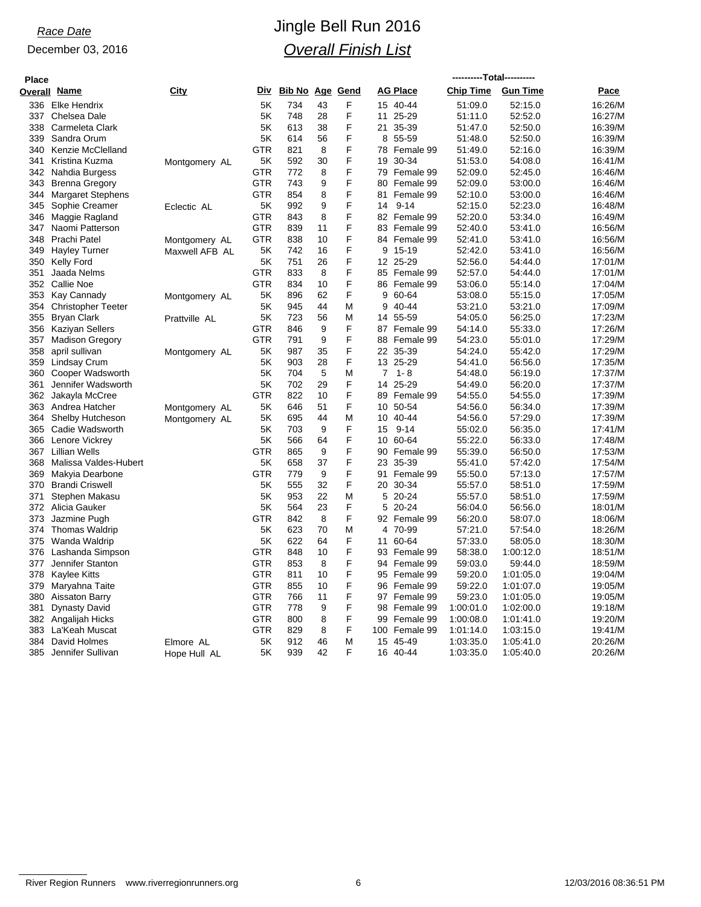| <b>Place</b> |                           |                |            |        |    |          |                |                 | ----------Total---------- |                 |         |
|--------------|---------------------------|----------------|------------|--------|----|----------|----------------|-----------------|---------------------------|-----------------|---------|
|              | <b>Overall Name</b>       | City           | Div.       | Bib No |    | Age Gend |                | <b>AG Place</b> | <b>Chip Time</b>          | <b>Gun Time</b> | Pace    |
|              | 336 Elke Hendrix          |                | 5K         | 734    | 43 | F        |                | 15 40-44        | 51:09.0                   | 52:15.0         | 16:26/M |
| 337          | Chelsea Dale              |                | 5K         | 748    | 28 | F        | 11             | 25-29           | 51:11.0                   | 52:52.0         | 16:27/M |
| 338          | Carmeleta Clark           |                | 5K         | 613    | 38 | F        |                | 21 35-39        | 51:47.0                   | 52:50.0         | 16:39/M |
| 339          | Sandra Orum               |                | 5K         | 614    | 56 | F        | 8              | 55-59           | 51:48.0                   | 52:50.0         | 16:39/M |
| 340          | Kenzie McClelland         |                | <b>GTR</b> | 821    | 8  | F        | 78             | Female 99       | 51:49.0                   | 52:16.0         | 16:39/M |
| 341          | Kristina Kuzma            | Montgomery AL  | 5Κ         | 592    | 30 | F        | 19             | 30-34           | 51:53.0                   | 54:08.0         | 16:41/M |
|              | 342 Nahdia Burgess        |                | <b>GTR</b> | 772    | 8  | F        | 79             | Female 99       | 52:09.0                   | 52:45.0         | 16:46/M |
|              | 343 Brenna Gregory        |                | GTR        | 743    | 9  | F        | 80             | Female 99       | 52:09.0                   | 53:00.0         | 16:46/M |
| 344          | <b>Margaret Stephens</b>  |                | GTR        | 854    | 8  | F        | 81             | Female 99       | 52:10.0                   | 53:00.0         | 16:46/M |
| 345          | Sophie Creamer            | Eclectic AL    | 5K         | 992    | 9  | F        | 14             | $9 - 14$        | 52:15.0                   | 52:23.0         | 16:48/M |
| 346          | Maggie Ragland            |                | <b>GTR</b> | 843    | 8  | F        |                | 82 Female 99    | 52:20.0                   | 53:34.0         | 16:49/M |
| 347          | Naomi Patterson           |                | <b>GTR</b> | 839    | 11 | F        | 83             | Female 99       | 52:40.0                   | 53:41.0         | 16:56/M |
| 348          | Prachi Patel              | Montgomery AL  | <b>GTR</b> | 838    | 10 | F        |                | 84 Female 99    | 52:41.0                   | 53:41.0         | 16:56/M |
| 349          | <b>Hayley Turner</b>      | Maxwell AFB AL | 5Κ         | 742    | 16 | F        | 9              | 15-19           | 52:42.0                   | 53:41.0         | 16:56/M |
| 350          | <b>Kelly Ford</b>         |                | 5K         | 751    | 26 | F        |                | 12 25-29        | 52:56.0                   | 54:44.0         | 17:01/M |
| 351          | Jaada Nelms               |                | <b>GTR</b> | 833    | 8  | F        | 85             | Female 99       | 52:57.0                   | 54:44.0         | 17:01/M |
|              | 352 Callie Noe            |                | <b>GTR</b> | 834    | 10 | F        |                | 86 Female 99    | 53:06.0                   | 55:14.0         | 17:04/M |
|              | 353 Kay Cannady           | Montgomery AL  | 5K         | 896    | 62 | F        | 9              | 60-64           | 53:08.0                   | 55:15.0         | 17:05/M |
| 354          | <b>Christopher Teeter</b> |                | 5K         | 945    | 44 | M        | 9              | 40-44           | 53:21.0                   | 53:21.0         | 17:09/M |
|              | 355 Bryan Clark           | Prattville AL  | 5K         | 723    | 56 | M        |                | 14 55-59        | 54:05.0                   | 56:25.0         | 17:23/M |
| 356          | Kaziyan Sellers           |                | <b>GTR</b> | 846    | 9  | F        | 87             | Female 99       | 54:14.0                   | 55:33.0         | 17:26/M |
| 357          | <b>Madison Gregory</b>    |                | <b>GTR</b> | 791    | 9  | F        | 88             | Female 99       | 54:23.0                   | 55:01.0         | 17:29/M |
| 358          | april sullivan            | Montgomery AL  | 5K         | 987    | 35 | F        |                | 22 35-39        | 54:24.0                   | 55:42.0         | 17:29/M |
| 359          | Lindsay Crum              |                | 5Κ         | 903    | 28 | F        |                | 13 25-29        | 54:41.0                   | 56:56.0         | 17:35/M |
| 360          | Cooper Wadsworth          |                | 5K         | 704    | 5  | M        | $\overline{7}$ | 1-8             | 54:48.0                   | 56:19.0         | 17:37/M |
| 361          | Jennifer Wadsworth        |                | 5K         | 702    | 29 | F        | 14             | 25-29           | 54:49.0                   | 56:20.0         | 17:37/M |
| 362          | Jakayla McCree            |                | <b>GTR</b> | 822    | 10 | F        | 89             | Female 99       | 54:55.0                   | 54:55.0         | 17:39/M |
|              | 363 Andrea Hatcher        | Montgomery AL  | 5K         | 646    | 51 | F        |                | 10 50-54        | 54:56.0                   | 56:34.0         | 17:39/M |
| 364          | Shelby Hutcheson          | Montgomery AL  | 5Κ         | 695    | 44 | M        | 10             | 40-44           | 54:56.0                   | 57:29.0         | 17:39/M |
| 365          | Cadie Wadsworth           |                | 5K         | 703    | 9  | F        | 15             | $9 - 14$        | 55:02.0                   | 56:35.0         | 17:41/M |
| 366          | Lenore Vickrey            |                | 5K         | 566    | 64 | F        | 10             | 60-64           | 55:22.0                   | 56:33.0         | 17:48/M |
|              | 367 Lillian Wells         |                | <b>GTR</b> | 865    | 9  | F        | 90             | Female 99       | 55:39.0                   | 56:50.0         | 17:53/M |
| 368          | Malissa Valdes-Hubert     |                | 5Κ         | 658    | 37 | F        | 23             | 35-39           | 55:41.0                   | 57:42.0         | 17:54/M |
| 369          | Makyia Dearbone           |                | <b>GTR</b> | 779    | 9  | F        | 91             | Female 99       | 55:50.0                   | 57:13.0         | 17:57/M |
|              | 370 Brandi Criswell       |                | 5K         | 555    | 32 | F        |                | 20 30-34        | 55:57.0                   | 58:51.0         | 17:59/M |
| 371          | Stephen Makasu            |                | 5K         | 953    | 22 | M        | 5              | $20 - 24$       | 55:57.0                   | 58:51.0         | 17:59/M |
|              | 372 Alicia Gauker         |                | 5K         | 564    | 23 | F        | 5              | 20-24           | 56:04.0                   | 56:56.0         | 18:01/M |
| 373          | Jazmine Pugh              |                | <b>GTR</b> | 842    | 8  | F        |                | 92 Female 99    | 56:20.0                   | 58:07.0         | 18:06/M |
| 374          | <b>Thomas Waldrip</b>     |                | 5K         | 623    | 70 | М        | 4              | 70-99           | 57:21.0                   | 57:54.0         | 18:26/M |
|              | 375 Wanda Waldrip         |                | 5K         | 622    | 64 | F        | 11             | 60-64           | 57:33.0                   | 58:05.0         | 18:30/M |
| 376          | Lashanda Simpson          |                | <b>GTR</b> | 848    | 10 | F        | 93             | Female 99       | 58:38.0                   | 1:00:12.0       | 18:51/M |
| 377          | Jennifer Stanton          |                | <b>GTR</b> | 853    | 8  | F        |                | 94 Female 99    | 59:03.0                   | 59:44.0         | 18:59/M |
| 378          | <b>Kaylee Kitts</b>       |                | GTR        | 811    | 10 | F        | 95             | Female 99       | 59:20.0                   | 1:01:05.0       | 19:04/M |
| 379          | Maryahna Taite            |                | <b>GTR</b> | 855    | 10 | F        | 96             | Female 99       | 59:22.0                   | 1:01:07.0       | 19:05/M |
| 380          | <b>Aissaton Barry</b>     |                | <b>GTR</b> | 766    | 11 | F        |                | 97 Female 99    | 59:23.0                   | 1:01:05.0       | 19:05/M |
| 381          | <b>Dynasty David</b>      |                | <b>GTR</b> | 778    | 9  | F        | 98             | Female 99       | 1:00:01.0                 | 1:02:00.0       | 19:18/M |
|              | 382 Angalijah Hicks       |                | GTR        | 800    | 8  | F        |                | 99 Female 99    | 1:00:08.0                 | 1:01:41.0       | 19:20/M |
| 383          | La'Keah Muscat            |                | <b>GTR</b> | 829    | 8  | F        | 100            | Female 99       | 1:01:14.0                 | 1:03:15.0       | 19:41/M |
| 384          | David Holmes              | Elmore AL      | 5K         | 912    | 46 | M        | 15             | 45-49           | 1:03:35.0                 | 1:05:41.0       | 20:26/M |
| 385          | Jennifer Sullivan         | Hope Hull AL   | 5K         | 939    | 42 | F        |                | 16 40-44        | 1:03:35.0                 | 1:05:40.0       | 20:26/M |
|              |                           |                |            |        |    |          |                |                 |                           |                 |         |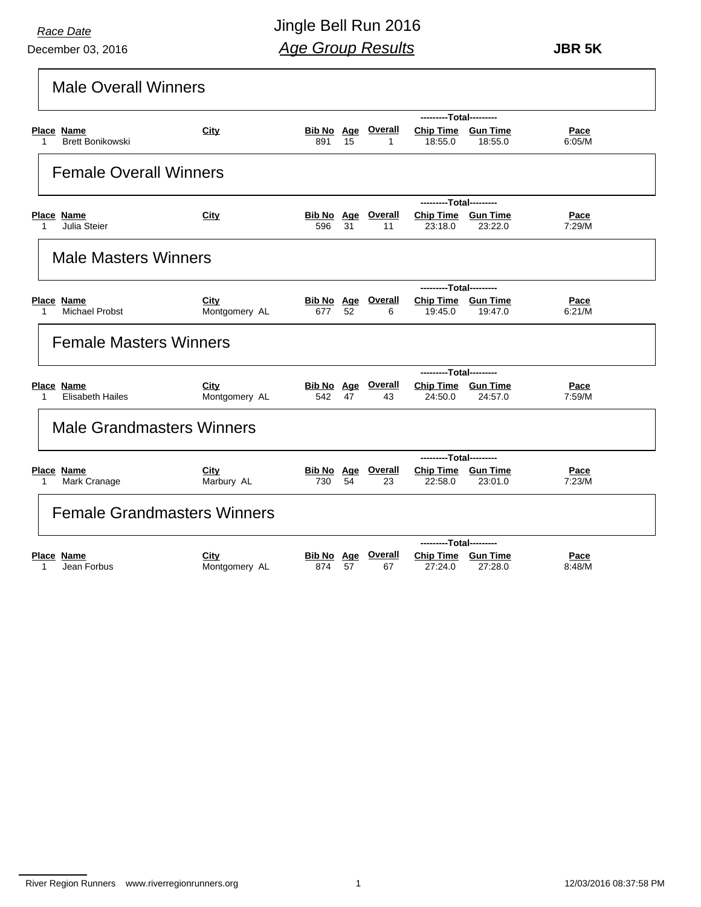December 03, 2016

Jingle Bell Run 2016 *Age Group Results*

 **JBR 5K**

| <b>Male Overall Winners</b>                |                                    |                   |    |                                 |                                      |         |                       |
|--------------------------------------------|------------------------------------|-------------------|----|---------------------------------|--------------------------------------|---------|-----------------------|
|                                            |                                    |                   |    |                                 | ---------Total---------              |         |                       |
| Place Name<br>Brett Bonikowski<br>1        | City                               | 891               | 15 | <b>Bib No Age Overall</b><br>1  | Chip Time Gun Time<br>18:55.0        | 18:55.0 | Pace<br>6:05/M        |
| <b>Female Overall Winners</b>              |                                    |                   |    |                                 |                                      |         |                       |
|                                            |                                    |                   |    |                                 | ---------Total---------              |         |                       |
| <b>Place Name</b><br>Julia Steier<br>1     | City                               | 596               | 31 | <b>Bib No Age Overall</b><br>11 | Chip Time Gun Time<br>23:18.0        | 23:22.0 | Pace<br>7:29/M        |
| <b>Male Masters Winners</b>                |                                    |                   |    |                                 |                                      |         |                       |
|                                            |                                    |                   |    |                                 | ---------Total---------              |         |                       |
| Place Name<br><b>Michael Probst</b><br>1   | City<br>Montgomery AL              | 677               | 52 | <b>Bib No Age Overall</b><br>6  | Chip Time Gun Time<br>19:45.0        | 19:47.0 | Pace<br>6:21/M        |
| <b>Female Masters Winners</b>              |                                    |                   |    |                                 |                                      |         |                       |
|                                            |                                    |                   |    |                                 | ---------Total---------              |         |                       |
| Place Name<br><b>Elisabeth Hailes</b><br>1 | City<br>Montgomery AL              | 542               | 47 | <b>Bib No Age Overall</b><br>43 | Chip Time Gun Time<br>24:50.0        | 24:57.0 | Pace<br>7:59/M        |
| <b>Male Grandmasters Winners</b>           |                                    |                   |    |                                 |                                      |         |                       |
|                                            |                                    |                   |    |                                 | ---------Total---------              |         |                       |
| Place Name<br>Mark Cranage<br>1            | City<br>Marbury AL                 | 730               | 54 | <b>Bib No Age Overall</b><br>23 | Chip Time Gun Time<br>22:58.0        | 23:01.0 | <u>Pace</u><br>7:23/M |
|                                            | <b>Female Grandmasters Winners</b> |                   |    |                                 |                                      |         |                       |
|                                            |                                    |                   |    |                                 | ---------Total---------              |         |                       |
| <b>Place Name</b><br>Jean Forbus<br>1      | City<br>Montgomery AL              | Bib No Age<br>874 | 57 | <b>Overall</b><br>67            | <b>Chip Time Gun Time</b><br>27:24.0 | 27:28.0 | Pace<br>8:48/M        |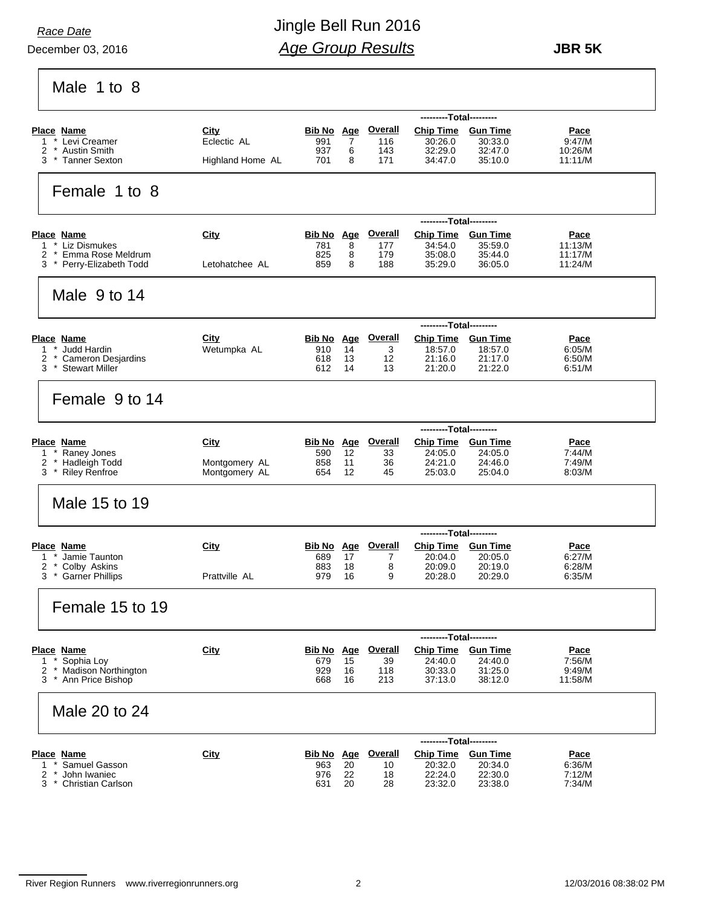December 03, 2016

# Jingle Bell Run 2016 *Age Group Results*

 **JBR 5K**

 $Molo$   $1 to 0$ 

| Male 1 to 8                                              |                     |                          |          |                       |                                             |                            |                        |
|----------------------------------------------------------|---------------------|--------------------------|----------|-----------------------|---------------------------------------------|----------------------------|------------------------|
|                                                          |                     |                          |          |                       | ---------Total---------                     |                            |                        |
| <b>Place Name</b><br>* Levi Creamer<br>1                 | City<br>Eclectic AL | Bib No Age<br>991        | 7        | <b>Overall</b><br>116 | <b>Chip Time</b><br>30:26.0                 | <b>Gun Time</b><br>30:33.0 | <b>Pace</b><br>9:47/M  |
| 2<br>* Austin Smith                                      |                     | 937                      | 6        | 143                   | 32:29.0                                     | 32:47.0                    | 10:26/M                |
| * Tanner Sexton<br>3                                     | Highland Home AL    | 701                      | 8        | 171                   | 34:47.0                                     | 35:10.0                    | 11:11/M                |
| Female 1 to 8                                            |                     |                          |          |                       |                                             |                            |                        |
|                                                          |                     |                          |          | <u>Overall</u>        | ---------Total---------<br><b>Chip Time</b> |                            |                        |
| <b>Place Name</b><br>* Liz Dismukes<br>1                 | City                | <b>Bib No</b> Age<br>781 | 8        | 177                   | 34:54.0                                     | <b>Gun Time</b><br>35:59.0 | <u>Pace</u><br>11:13/M |
| * Emma Rose Meldrum<br>2<br>* Perry-Elizabeth Todd<br>3. | Letohatchee AL      | 825<br>859               | 8<br>8   | 179<br>188            | 35:08.0<br>35:29.0                          | 35:44.0<br>36:05.0         | 11:17/M<br>11:24/M     |
| Male 9 to 14                                             |                     |                          |          |                       |                                             |                            |                        |
|                                                          |                     |                          |          |                       | ---------Total---------                     |                            |                        |
| <b>Place Name</b>                                        | City                | <b>Bib No</b> Age        |          | <u>Overall</u>        | <b>Chip Time</b>                            | <b>Gun Time</b>            | <b>Pace</b>            |
| Judd Hardin<br>2<br><b>Cameron Desjardins</b>            | Wetumpka AL         | 910<br>618               | 14<br>13 | 3<br>12               | 18:57.0<br>21:16.0                          | 18:57.0<br>21:17.0         | 6:05/M<br>6:50/M       |
| 3<br><b>Stewart Miller</b>                               |                     | 612                      | 14       | 13                    | 21:20.0                                     | 21:22.0                    | 6:51/M                 |
| Female 9 to 14                                           |                     |                          |          |                       |                                             |                            |                        |
|                                                          |                     |                          |          |                       | ---------Total---------                     |                            |                        |
| <b>Place Name</b>                                        | City                | <b>Bib No Age</b>        |          | <u>Overall</u>        | <b>Chip Time</b>                            | <b>Gun Time</b>            | <u>Pace</u>            |
| Raney Jones<br>1<br>* Hadleigh Todd<br>2                 | Montgomery AL       | 590<br>858               | 12<br>11 | 33<br>36              | 24:05.0<br>24:21.0                          | 24:05.0<br>24:46.0         | 7:44/M<br>7:49/M       |
| 3<br><b>Riley Renfroe</b>                                | Montgomery AL       | 654                      | 12       | 45                    | 25:03.0                                     | 25:04.0                    | 8.03/M                 |
| Male 15 to 19                                            |                     |                          |          |                       |                                             |                            |                        |
|                                                          |                     |                          |          |                       | ---------Total---------                     |                            |                        |
| Place Name<br>Jamie Taunton<br>1                         | City                | Bib No Age<br>689        | 17       | <b>Overall</b><br>7   | <b>Chip Time</b><br>20:04.0                 | <b>Gun Time</b><br>20:05.0 | <b>Pace</b><br>6:27/M  |
| 2<br>Colby Askins                                        |                     | 883                      | 18       | 8                     | 20:09.0                                     | 20:19.0                    | 6.28/M                 |
| <b>Garner Phillips</b><br>3                              | Prattville AL       | 979                      | 16       | 9                     | 20:28.0                                     | 20:29.0                    | 6:35/M                 |
| Female 15 to 19                                          |                     |                          |          |                       |                                             |                            |                        |
|                                                          |                     |                          |          |                       | ---------Total---------                     |                            |                        |
| Place Name                                               | City                | <b>Bib No</b> Age        |          | <b>Overall</b>        | <b>Chip Time</b>                            | <b>Gun Time</b>            | Pace                   |
| Sophia Loy<br>1<br>Madison Northington                   |                     | 679                      | 15       | 39                    | 24:40.0                                     | 24:40.0                    | 7:56/M                 |
| 2<br>$\mathbf{r}$<br>* Ann Price Bishop<br>3             |                     | 929<br>668               | 16<br>16 | 118<br>213            | 30:33.0<br>37:13.0                          | 31:25.0<br>38:12.0         | 9:49/M<br>11:58/M      |
| Male 20 to 24                                            |                     |                          |          |                       |                                             |                            |                        |
|                                                          |                     |                          |          |                       | ---------Total---------                     |                            |                        |
| <b>Place Name</b><br>Samuel Gasson<br>1                  | City                | <b>Bib No Age</b>        | 20       | <b>Overall</b>        | <b>Chip Time</b><br>20:32.0                 | <b>Gun Time</b><br>20:34.0 | Pace<br>6:36/M         |
| John Iwaniec<br>2                                        |                     | 963<br>976               | 22       | 10<br>18              | 22:24.0                                     | 22:30.0                    | 7:12/M                 |
| 3<br><b>Christian Carlson</b>                            |                     | 631                      | 20       | 28                    | 23:32.0                                     | 23:38.0                    | 7:34/M                 |
|                                                          |                     |                          |          |                       |                                             |                            |                        |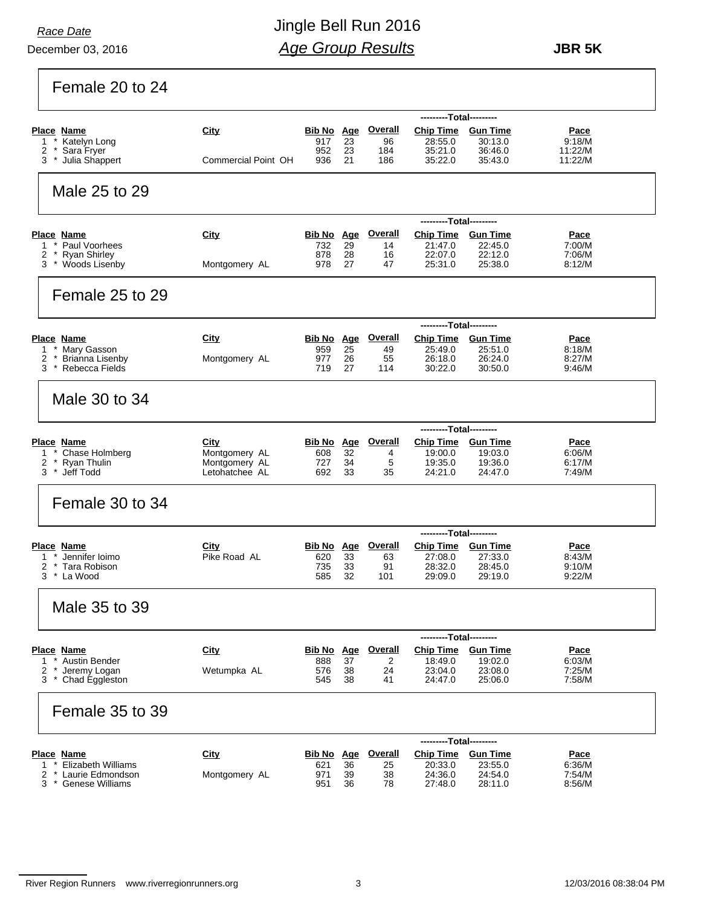*Race Date*

### Jingle Bell Run 2016 *Age Group Results*

 **JBR 5K**

Female 20 to 24

|                                                      |                                |                          |          |                           | ---------Total---------     |                            |                       |
|------------------------------------------------------|--------------------------------|--------------------------|----------|---------------------------|-----------------------------|----------------------------|-----------------------|
| <b>Place Name</b>                                    | City                           | <b>Bib No</b> Age        |          | <b>Overall</b>            | <b>Chip Time</b>            | <b>Gun Time</b>            | <u>Pace</u>           |
| Katelyn Long<br>1<br>2<br>Sara Fryer                 |                                | 917<br>952               | 23<br>23 | 96<br>184                 | 28:55.0<br>35:21.0          | 30:13.0<br>36:46.0         | 9:18/M<br>11:22/M     |
| 3<br>Julia Shappert                                  | Commercial Point OH            | 936                      | 21       | 186                       | 35:22.0                     | 35:43.0                    | 11:22/M               |
|                                                      |                                |                          |          |                           |                             |                            |                       |
| Male 25 to 29                                        |                                |                          |          |                           |                             |                            |                       |
|                                                      |                                |                          |          |                           |                             |                            |                       |
|                                                      |                                |                          |          |                           | ---------Total---------     |                            |                       |
| <b>Place Name</b>                                    | City                           | <b>Bib No</b> Age        |          | <u>Overall</u>            | Chip Time Gun Time          |                            | <u>Pace</u>           |
| * Paul Voorhees<br>1                                 |                                | 732                      | 29       | 14                        | 21:47.0                     | 22:45.0                    | 7:00/M                |
| 2<br>* Ryan Shirley<br>* Woods Lisenby<br>3          | Montgomery AL                  | 878<br>978               | 28<br>27 | 16<br>47                  | 22:07.0<br>25:31.0          | 22:12.0<br>25:38.0         | 7:06/M<br>8.12/M      |
|                                                      |                                |                          |          |                           |                             |                            |                       |
| Female 25 to 29                                      |                                |                          |          |                           |                             |                            |                       |
|                                                      |                                |                          |          |                           |                             |                            |                       |
|                                                      |                                |                          |          |                           | ---------Total---------     |                            |                       |
| <b>Place Name</b>                                    | City                           |                          |          | <b>Bib No Age Overall</b> | Chip Time Gun Time          |                            | <u>Pace</u>           |
| * Mary Gasson<br>1                                   |                                | 959                      | 25       | 49                        | 25:49.0                     | 25:51.0                    | 8:18/M                |
| * Brianna Lisenby<br>2                               | Montgomery AL                  | 977                      | 26       | 55                        | 26:18.0                     | 26:24.0                    | 8:27/M                |
| * Rebecca Fields<br>3                                |                                | 719                      | 27       | 114                       | 30:22.0                     | 30:50.0                    | 9:46/M                |
|                                                      |                                |                          |          |                           |                             |                            |                       |
| Male 30 to 34                                        |                                |                          |          |                           |                             |                            |                       |
|                                                      |                                |                          |          |                           |                             |                            |                       |
|                                                      |                                |                          |          |                           | ---------Total---------     |                            |                       |
| <b>Place Name</b>                                    | City                           | Bib No Age               |          | <u>Overall</u>            | Chip Time Gun Time          |                            | <u>Pace</u>           |
| Chase Holmberg<br>1<br>2<br>* Ryan Thulin            | Montgomery AL<br>Montgomery AL | 608<br>727               | 32<br>34 | 4<br>5                    | 19:00.0<br>19:35.0          | 19:03.0<br>19:36.0         | 6.06/M<br>6:17/M      |
| Jeff Todd<br>3<br>$\star$                            | Letohatchee AL                 | 692                      | 33       | 35                        | 24:21.0                     | 24:47.0                    | 7.49/M                |
|                                                      |                                |                          |          |                           |                             |                            |                       |
| Female 30 to 34                                      |                                |                          |          |                           |                             |                            |                       |
|                                                      |                                |                          |          |                           |                             |                            |                       |
|                                                      |                                |                          |          |                           | ---------Total---------     |                            |                       |
| <b>Place Name</b>                                    | City                           | Bib No Age               |          | <b>Overall</b>            | <b>Chip Time</b>            | <b>Gun Time</b>            | <u>Pace</u>           |
| Jennifer Ioimo<br>1                                  | Pike Road AL                   | 620                      | 33       | 63                        | 27:08.0                     | 27:33.0                    | 8.43/M                |
| 2<br>* Tara Robison<br>3 * La Wood                   |                                | 735<br>585               | 33<br>32 | 91<br>101                 | 28:32.0<br>29:09.0          | 28:45.0<br>29:19.0         | 9.10/M<br>9.22/M      |
|                                                      |                                |                          |          |                           |                             |                            |                       |
|                                                      |                                |                          |          |                           |                             |                            |                       |
| Male 35 to 39                                        |                                |                          |          |                           |                             |                            |                       |
|                                                      |                                |                          |          |                           |                             |                            |                       |
|                                                      |                                |                          |          | <b>Overall</b>            | ---------Total---------     |                            |                       |
| <b>Place Name</b><br>Austin Bender<br>1              | City                           | <b>Bib No</b> Age<br>888 | 37       | 2                         | <b>Chip Time</b><br>18:49.0 | <b>Gun Time</b><br>19:02.0 | <u>Pace</u><br>6:03/M |
| 2<br>Jeremy Logan                                    | Wetumpka AL                    | 576                      | 38       | 24                        | 23:04.0                     | 23:08.0                    | 7:25/M                |
| 3<br>Chad Eggleston                                  |                                | 545                      | 38       | 41                        | 24:47.0                     | 25:06.0                    | 7:58/M                |
|                                                      |                                |                          |          |                           |                             |                            |                       |
| Female 35 to 39                                      |                                |                          |          |                           |                             |                            |                       |
|                                                      |                                |                          |          |                           |                             |                            |                       |
|                                                      |                                |                          |          |                           | ---------Total---------     |                            |                       |
| <b>Place Name</b>                                    | City                           | <b>Bib No</b> Age        |          | <b>Overall</b>            | <b>Chip Time</b>            | <b>Gun Time</b>            | Pace                  |
| * Elizabeth Williams<br>1<br>* Laurie Edmondson<br>2 | Montgomery AL                  | 621                      | 36<br>39 | 25<br>38                  | 20:33.0<br>24:36.0          | 23:55.0<br>24:54.0         | 6:36/M<br>7:54/M      |
| <b>Genese Williams</b><br>3                          |                                | 971<br>951               | 36       | 78                        | 27:48.0                     | 28:11.0                    | 8:56/M                |
|                                                      |                                |                          |          |                           |                             |                            |                       |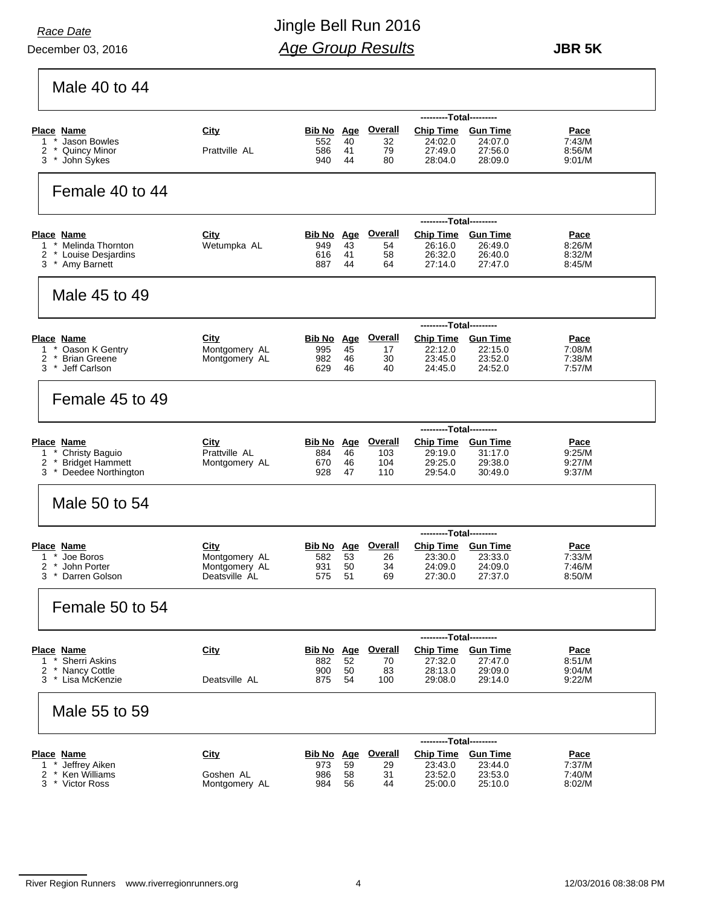December 03, 2016

# Jingle Bell Run 2016 *Age Group Results*

 **JBR 5K**

Male 40 to 44

|                                                    |                                |                          |          |                      | ---------Total---------              |                    |                  |
|----------------------------------------------------|--------------------------------|--------------------------|----------|----------------------|--------------------------------------|--------------------|------------------|
| Place Name                                         | City                           | <b>Bib No</b> Age        |          | <b>Overall</b>       | <b>Chip Time</b>                     | <b>Gun Time</b>    | <b>Pace</b>      |
| Jason Bowles<br>1<br>2<br><b>Quincy Minor</b>      | Prattville AL                  | 552<br>586               | 40<br>41 | 32<br>79             | 24:02.0<br>27:49.0                   | 24:07.0<br>27:56.0 | 7:43/M<br>8:56/M |
| 3<br>John Sykes                                    |                                | 940                      | 44       | 80                   | 28:04.0                              | 28:09.0            | 9.01/M           |
| Female 40 to 44                                    |                                |                          |          |                      |                                      |                    |                  |
|                                                    |                                |                          |          |                      | ---------Total----------             |                    |                  |
| Place Name                                         | City                           | Bib No Age               |          | <b>Overall</b>       | <b>Chip Time</b>                     | <b>Gun Time</b>    | <u>Pace</u>      |
| 1<br>* Melinda Thornton                            | Wetumpka AL                    | 949                      | 43<br>41 | 54<br>58             | 26:16.0<br>26:32.0                   | 26:49.0<br>26:40.0 | 8:26/M<br>8:32/M |
| 2<br>* Louise Desjardins<br>3<br>* Amy Barnett     |                                | 616<br>887               | 44       | 64                   | 27:14.0                              | 27:47.0            | 8:45/M           |
| Male 45 to 49                                      |                                |                          |          |                      |                                      |                    |                  |
|                                                    |                                |                          |          |                      | ---------Total---------              |                    |                  |
| <b>Place Name</b>                                  | City                           | Bib No Age               |          | <b>Overall</b>       | <b>Chip Time</b>                     | <b>Gun Time</b>    | <b>Pace</b>      |
| * Oason K Gentry<br>1<br>2<br><b>Brian Greene</b>  | Montgomery AL<br>Montgomery AL | 995<br>982               | 45<br>46 | 17<br>30             | 22:12.0<br>23:45.0                   | 22:15.0<br>23:52.0 | 7:08/M<br>7:38/M |
| 3<br>* Jeff Carlson                                |                                | 629                      | 46       | 40                   | 24:45.0                              | 24:52.0            | 7:57/M           |
| Female 45 to 49                                    |                                |                          |          |                      |                                      |                    |                  |
|                                                    |                                |                          |          |                      | ---------Total---------              |                    |                  |
| <b>Place Name</b>                                  | City                           | Bib No Age               |          | <b>Overall</b>       | <b>Chip Time</b>                     | <b>Gun Time</b>    | <u>Pace</u>      |
| Christy Baguio<br>1<br><b>Bridget Hammett</b><br>2 | Prattville AL<br>Montgomery AL | 884<br>670               | 46<br>46 | 103<br>104           | 29:19.0<br>29:25.0                   | 31:17.0<br>29:38.0 | 9:25/M<br>9:27/M |
| 3 * Deedee Northington                             |                                | 928                      | 47       | 110                  | 29:54.0                              | 30:49.0            | 9.37/M           |
| Male 50 to 54                                      |                                |                          |          |                      |                                      |                    |                  |
|                                                    |                                |                          |          |                      | ---------Total---------              |                    |                  |
| <b>Place Name</b><br>Joe Boros<br>1                | <b>City</b><br>Montgomery AL   | <b>Bib No Age</b><br>582 | 53       | <b>Overall</b><br>26 | <b>Chip Time Gun Time</b><br>23:30.0 | 23:33.0            | Pace<br>7:33/M   |
| 2<br>John Porter                                   | Montgomery AL                  | 931                      | 50       | 34                   | 24:09.0                              | 24:09.0            | 7:46/M           |
| 3<br>Darren Golson<br>$\cdot$                      | Deatsville AL                  | 575                      | 51       | 69                   | 27:30.0                              | 27:37.0            | 8.50/M           |
| Female 50 to 54                                    |                                |                          |          |                      |                                      |                    |                  |
|                                                    |                                |                          |          |                      |                                      | --Total---------   |                  |
| <b>Place Name</b>                                  | City                           | <b>Bib No Age</b>        |          | Overall              | Chip Time Gun Time                   |                    | Pace             |
| * Sherri Askins<br>1<br>2<br>* Nancy Cottle        |                                | 882<br>900               | 52<br>50 | 70                   | 27:32.0<br>28:13.0                   | 27:47.0<br>29:09.0 | 8:51/M           |
| * Lisa McKenzie<br>3                               | Deatsville AL                  | 875                      | 54       | 83<br>100            | 29:08.0                              | 29:14.0            | 9:04/M<br>9:22/M |
| Male 55 to 59                                      |                                |                          |          |                      |                                      |                    |                  |
|                                                    |                                |                          |          |                      | ---------Total---------              |                    |                  |
| <b>Place Name</b>                                  | <b>City</b>                    | Bib No Age               |          | <b>Overall</b>       | Chip Time Gun Time                   |                    | Pace             |
| * Jeffrey Aiken<br>1<br>* Ken Williams<br>2        | Goshen AL                      | 973<br>986               | 59<br>58 | 29<br>31             | 23:43.0<br>23:52.0                   | 23:44.0<br>23:53.0 | 7:37/M<br>7:40/M |
| 3 * Victor Ross                                    | Montgomery AL                  | 984                      | 56       | 44                   | 25:00.0                              | 25:10.0            | 8:02/M           |